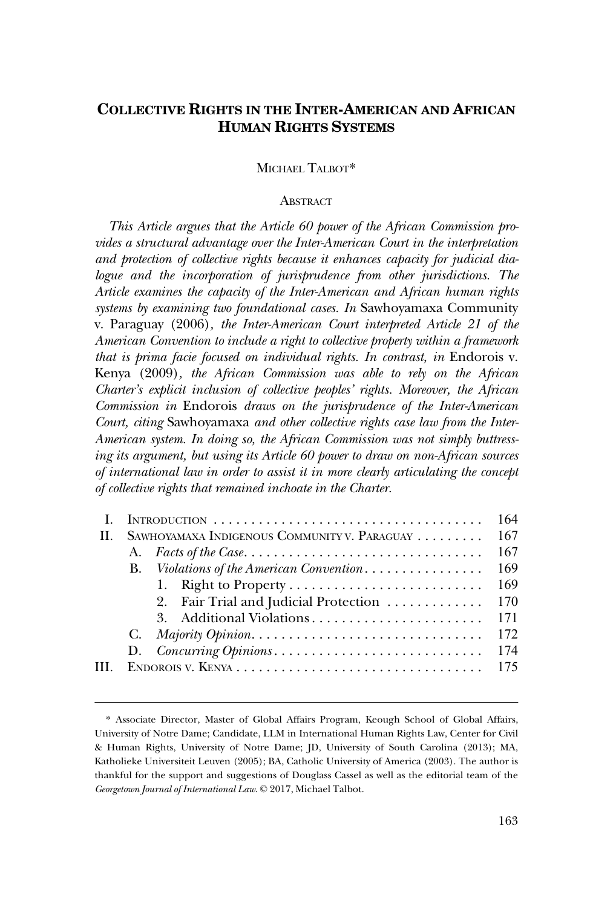# **COLLECTIVE RIGHTS IN THE INTER-AMERICAN AND AFRICAN HUMAN RIGHTS SYSTEMS**

MICHAEL TALBOT\*

# **ABSTRACT**

*This Article argues that the Article 60 power of the African Commission provides a structural advantage over the Inter-American Court in the interpretation and protection of collective rights because it enhances capacity for judicial dialogue and the incorporation of jurisprudence from other jurisdictions. The Article examines the capacity of the Inter-American and African human rights systems by examining two foundational cases. In* Sawhoyamaxa Community v. Paraguay (2006)*, the Inter-American Court interpreted Article 21 of the American Convention to include a right to collective property within a framework that is prima facie focused on individual rights. In contrast, in Endorois v.* Kenya (2009)*, the African Commission was able to rely on the African Charter's explicit inclusion of collective peoples' rights. Moreover, the African Commission in* Endorois *draws on the jurisprudence of the Inter-American Court, citing* Sawhoyamaxa *and other collective rights case law from the Inter-American system. In doing so, the African Commission was not simply buttressing its argument, but using its Article 60 power to draw on non-African sources of international law in order to assist it in more clearly articulating the concept of collective rights that remained inchoate in the Charter.* 

|        | INTRODUCTION                                 | 164 |
|--------|----------------------------------------------|-----|
| - II - | SAWHOYAMAXA INDIGENOUS COMMUNITY V. PARAGUAY | 167 |
|        |                                              | 167 |
|        | B. Violations of the American Convention     | 169 |
|        |                                              | 169 |
|        | 2. Fair Trial and Judicial Protection        | 170 |
|        | 3. Additional Violations                     | 171 |
|        | G.                                           | 172 |
|        |                                              | 174 |
|        |                                              | 175 |
|        |                                              |     |

<sup>\*</sup> Associate Director, Master of Global Affairs Program, Keough School of Global Affairs, University of Notre Dame; Candidate, LLM in International Human Rights Law, Center for Civil & Human Rights, University of Notre Dame; JD, University of South Carolina (2013); MA, Katholieke Universiteit Leuven (2005); BA, Catholic University of America (2003). The author is thankful for the support and suggestions of Douglass Cassel as well as the editorial team of the *Georgetown Journal of International Law*. © 2017, Michael Talbot.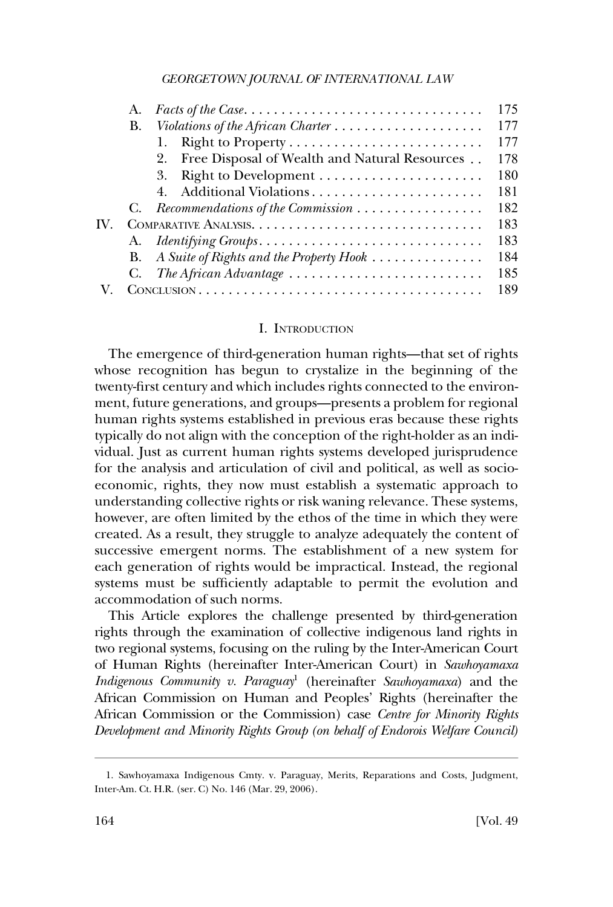<span id="page-1-0"></span>

| А. |                                                                                 | 175 |
|----|---------------------------------------------------------------------------------|-----|
| В. |                                                                                 | 177 |
|    |                                                                                 | 177 |
|    | 2. Free Disposal of Wealth and Natural Resources                                | 178 |
|    |                                                                                 | 180 |
|    | Additional Violations<br>4.                                                     | 181 |
| G. | Recommendations of the Commission                                               | 182 |
|    |                                                                                 | 183 |
|    | A. Identifying Groups                                                           | 183 |
| В. | A Suite of Rights and the Property Hook                                         | 184 |
| C. | The African Advantage $\ldots \ldots \ldots \ldots \ldots \ldots \ldots \ldots$ | 185 |
|    |                                                                                 | 189 |

### I. INTRODUCTION

The emergence of third-generation human rights—that set of rights whose recognition has begun to crystalize in the beginning of the twenty-first century and which includes rights connected to the environment, future generations, and groups—presents a problem for regional human rights systems established in previous eras because these rights typically do not align with the conception of the right-holder as an individual. Just as current human rights systems developed jurisprudence for the analysis and articulation of civil and political, as well as socioeconomic, rights, they now must establish a systematic approach to understanding collective rights or risk waning relevance. These systems, however, are often limited by the ethos of the time in which they were created. As a result, they struggle to analyze adequately the content of successive emergent norms. The establishment of a new system for each generation of rights would be impractical. Instead, the regional systems must be sufficiently adaptable to permit the evolution and accommodation of such norms.

This Article explores the challenge presented by third-generation rights through the examination of collective indigenous land rights in two regional systems, focusing on the ruling by the Inter-American Court of Human Rights (hereinafter Inter-American Court) in *Sawhoyamaxa Indigenous Community v. Paraguay*1 (hereinafter *Sawhoyamaxa*) and the African Commission on Human and Peoples' Rights (hereinafter the African Commission or the Commission) case *Centre for Minority Rights Development and Minority Rights Group (on behalf of Endorois Welfare Council)* 

<sup>1.</sup> Sawhoyamaxa Indigenous Cmty. v. Paraguay, Merits, Reparations and Costs, Judgment, Inter-Am. Ct. H.R. (ser. C) No. 146 (Mar. 29, 2006).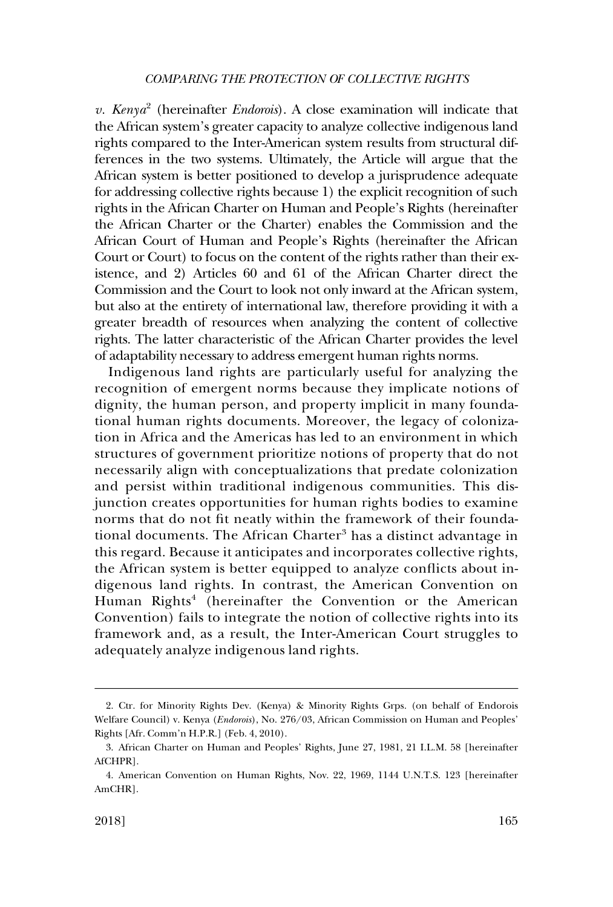*v. Kenya*<sup>2</sup> (hereinafter *Endorois*). A close examination will indicate that the African system's greater capacity to analyze collective indigenous land rights compared to the Inter-American system results from structural differences in the two systems. Ultimately, the Article will argue that the African system is better positioned to develop a jurisprudence adequate for addressing collective rights because 1) the explicit recognition of such rights in the African Charter on Human and People's Rights (hereinafter the African Charter or the Charter) enables the Commission and the African Court of Human and People's Rights (hereinafter the African Court or Court) to focus on the content of the rights rather than their existence, and 2) Articles 60 and 61 of the African Charter direct the Commission and the Court to look not only inward at the African system, but also at the entirety of international law, therefore providing it with a greater breadth of resources when analyzing the content of collective rights. The latter characteristic of the African Charter provides the level of adaptability necessary to address emergent human rights norms.

Indigenous land rights are particularly useful for analyzing the recognition of emergent norms because they implicate notions of dignity, the human person, and property implicit in many foundational human rights documents. Moreover, the legacy of colonization in Africa and the Americas has led to an environment in which structures of government prioritize notions of property that do not necessarily align with conceptualizations that predate colonization and persist within traditional indigenous communities. This disjunction creates opportunities for human rights bodies to examine norms that do not fit neatly within the framework of their foundational documents. The African Charter<sup>3</sup> has a distinct advantage in this regard. Because it anticipates and incorporates collective rights, the African system is better equipped to analyze conflicts about indigenous land rights. In contrast, the American Convention on Human Rights<sup>4</sup> (hereinafter the Convention or the American Convention) fails to integrate the notion of collective rights into its framework and, as a result, the Inter-American Court struggles to adequately analyze indigenous land rights.

<sup>2.</sup> Ctr. for Minority Rights Dev. (Kenya) & Minority Rights Grps. (on behalf of Endorois Welfare Council) v. Kenya (*Endorois*), No. 276/03, African Commission on Human and Peoples' Rights [Afr. Comm'n H.P.R.] (Feb. 4, 2010).

<sup>3.</sup> African Charter on Human and Peoples' Rights, June 27, 1981, 21 I.L.M. 58 [hereinafter AfCHPR].

<sup>4.</sup> American Convention on Human Rights, Nov. 22, 1969, 1144 U.N.T.S. 123 [hereinafter AmCHR].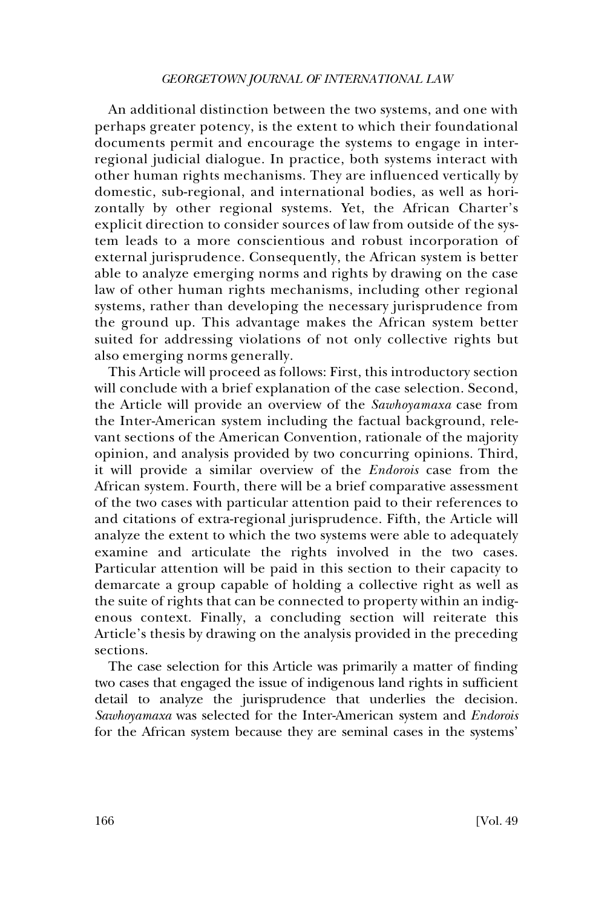An additional distinction between the two systems, and one with perhaps greater potency, is the extent to which their foundational documents permit and encourage the systems to engage in interregional judicial dialogue. In practice, both systems interact with other human rights mechanisms. They are influenced vertically by domestic, sub-regional, and international bodies, as well as horizontally by other regional systems. Yet, the African Charter's explicit direction to consider sources of law from outside of the system leads to a more conscientious and robust incorporation of external jurisprudence. Consequently, the African system is better able to analyze emerging norms and rights by drawing on the case law of other human rights mechanisms, including other regional systems, rather than developing the necessary jurisprudence from the ground up. This advantage makes the African system better suited for addressing violations of not only collective rights but also emerging norms generally.

This Article will proceed as follows: First, this introductory section will conclude with a brief explanation of the case selection. Second, the Article will provide an overview of the *Sawhoyamaxa* case from the Inter-American system including the factual background, relevant sections of the American Convention, rationale of the majority opinion, and analysis provided by two concurring opinions. Third, it will provide a similar overview of the *Endorois* case from the African system. Fourth, there will be a brief comparative assessment of the two cases with particular attention paid to their references to and citations of extra-regional jurisprudence. Fifth, the Article will analyze the extent to which the two systems were able to adequately examine and articulate the rights involved in the two cases. Particular attention will be paid in this section to their capacity to demarcate a group capable of holding a collective right as well as the suite of rights that can be connected to property within an indigenous context. Finally, a concluding section will reiterate this Article's thesis by drawing on the analysis provided in the preceding sections.

The case selection for this Article was primarily a matter of finding two cases that engaged the issue of indigenous land rights in sufficient detail to analyze the jurisprudence that underlies the decision. *Sawhoyamaxa* was selected for the Inter-American system and *Endorois*  for the African system because they are seminal cases in the systems'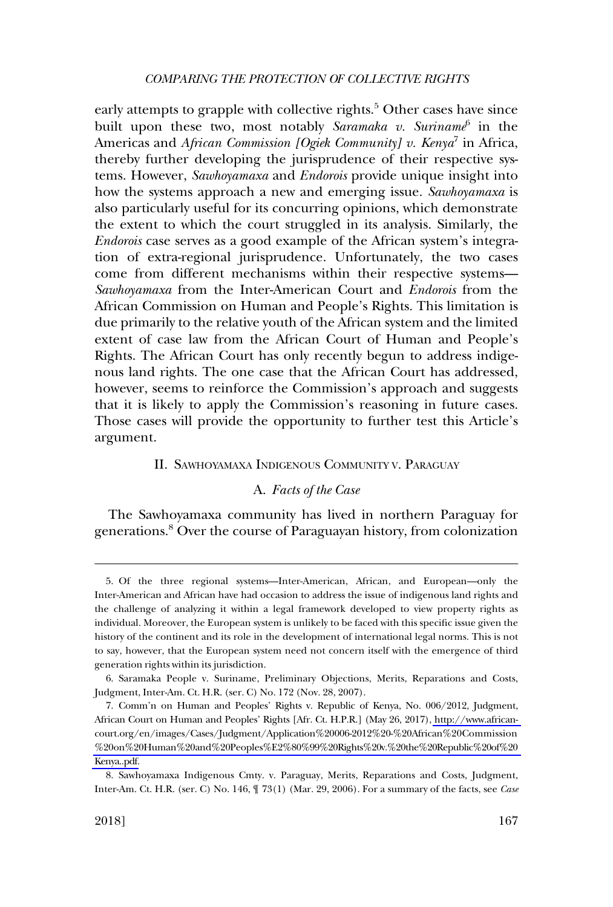<span id="page-4-0"></span>early attempts to grapple with collective rights.<sup>5</sup> Other cases have since built upon these two, most notably *Saramaka v. Suriname*<sup>6</sup> in the Americas and *African Commission [Ogiek Community] v. Kenya*<sup>7</sup> in Africa, thereby further developing the jurisprudence of their respective systems. However, *Sawhoyamaxa* and *Endorois* provide unique insight into how the systems approach a new and emerging issue. *Sawhoyamaxa* is also particularly useful for its concurring opinions, which demonstrate the extent to which the court struggled in its analysis. Similarly, the *Endorois* case serves as a good example of the African system's integration of extra-regional jurisprudence. Unfortunately, the two cases come from different mechanisms within their respective systems— *Sawhoyamaxa* from the Inter-American Court and *Endorois* from the African Commission on Human and People's Rights. This limitation is due primarily to the relative youth of the African system and the limited extent of case law from the African Court of Human and People's Rights. The African Court has only recently begun to address indigenous land rights. The one case that the African Court has addressed, however, seems to reinforce the Commission's approach and suggests that it is likely to apply the Commission's reasoning in future cases. Those cases will provide the opportunity to further test this Article's argument.

# II. SAWHOYAMAXA INDIGENOUS COMMUNITY V. PARAGUAY

# A. *Facts of the Case*

The Sawhoyamaxa community has lived in northern Paraguay for generations.8 Over the course of Paraguayan history, from colonization

<sup>5.</sup> Of the three regional systems—Inter-American, African, and European—only the Inter-American and African have had occasion to address the issue of indigenous land rights and the challenge of analyzing it within a legal framework developed to view property rights as individual. Moreover, the European system is unlikely to be faced with this specific issue given the history of the continent and its role in the development of international legal norms. This is not to say, however, that the European system need not concern itself with the emergence of third generation rights within its jurisdiction.

<sup>6.</sup> Saramaka People v. Suriname, Preliminary Objections, Merits, Reparations and Costs, Judgment, Inter-Am. Ct. H.R. (ser. C) No. 172 (Nov. 28, 2007).

<sup>7.</sup> Comm'n on Human and Peoples' Rights v. Republic of Kenya, No. 006/2012, Judgment, African Court on Human and Peoples' Rights [Afr. Ct. H.P.R.] (May 26, 2017), [http://www.african](http://www.african-court.org/en/images/Cases/Judgment/Application%20006-2012%20-%20African%20Commission%20on%20Human%20and%20Peoples%E2%80%99%20Rights%20v.%20the%20Republic%20of%20Kenya..pdf)court.org/en/images/Cases/Judgment/Application%20006-2012%20-%20African%20Commission [%20on%20Human%20and%20Peoples%E2%80%99%20Rights%20v.%20the%20Republic%20of%20](http://www.african-court.org/en/images/Cases/Judgment/Application%20006-2012%20-%20African%20Commission%20on%20Human%20and%20Peoples%E2%80%99%20Rights%20v.%20the%20Republic%20of%20Kenya..pdf)  [Kenya..pdf.](http://www.african-court.org/en/images/Cases/Judgment/Application%20006-2012%20-%20African%20Commission%20on%20Human%20and%20Peoples%E2%80%99%20Rights%20v.%20the%20Republic%20of%20Kenya..pdf)

<sup>8.</sup> Sawhoyamaxa Indigenous Cmty. v. Paraguay, Merits, Reparations and Costs, Judgment, Inter-Am. Ct. H.R. (ser. C) No. 146, ¶ 73(1) (Mar. 29, 2006). For a summary of the facts, see *Case*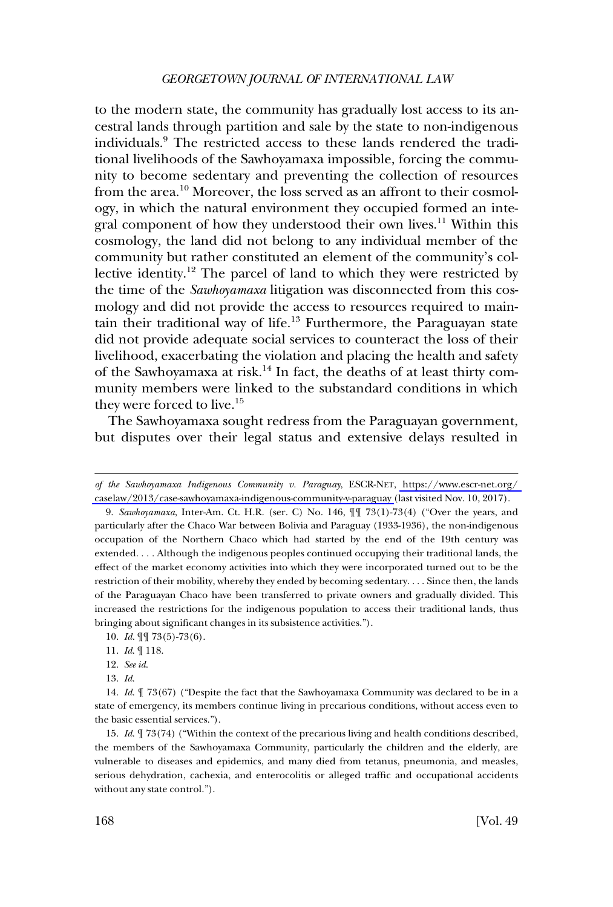to the modern state, the community has gradually lost access to its ancestral lands through partition and sale by the state to non-indigenous individuals.9 The restricted access to these lands rendered the traditional livelihoods of the Sawhoyamaxa impossible, forcing the community to become sedentary and preventing the collection of resources from the area.10 Moreover, the loss served as an affront to their cosmology, in which the natural environment they occupied formed an integral component of how they understood their own lives.<sup>11</sup> Within this cosmology, the land did not belong to any individual member of the community but rather constituted an element of the community's collective identity.12 The parcel of land to which they were restricted by the time of the *Sawhoyamaxa* litigation was disconnected from this cosmology and did not provide the access to resources required to maintain their traditional way of life.<sup>13</sup> Furthermore, the Paraguayan state did not provide adequate social services to counteract the loss of their livelihood, exacerbating the violation and placing the health and safety of the Sawhoyamaxa at risk.<sup>14</sup> In fact, the deaths of at least thirty community members were linked to the substandard conditions in which they were forced to live.<sup>15</sup>

The Sawhoyamaxa sought redress from the Paraguayan government, but disputes over their legal status and extensive delays resulted in

*of the Sawhoyamaxa Indigenous Community v. Paraguay*, ESCR-NET, [https://www.escr-net.org/](https://www.escr-net.org/caselaw/2013/case-sawhoyamaxa-indigenous-community-v-paraguay)  [caselaw/2013/case-sawhoyamaxa-indigenous-community-v-paraguay \(](https://www.escr-net.org/caselaw/2013/case-sawhoyamaxa-indigenous-community-v-paraguay)last visited Nov. 10, 2017).

<sup>9.</sup> *Sawhoyamaxa*, Inter-Am. Ct. H.R. (ser. C) No. 146, ¶¶ 73(1)-73(4) ("Over the years, and particularly after the Chaco War between Bolivia and Paraguay (1933-1936), the non-indigenous occupation of the Northern Chaco which had started by the end of the 19th century was extended. . . . Although the indigenous peoples continued occupying their traditional lands, the effect of the market economy activities into which they were incorporated turned out to be the restriction of their mobility, whereby they ended by becoming sedentary. . . . Since then, the lands of the Paraguayan Chaco have been transferred to private owners and gradually divided. This increased the restrictions for the indigenous population to access their traditional lands, thus bringing about significant changes in its subsistence activities.").

<sup>10.</sup> *Id*. ¶¶ 73(5)-73(6).

<sup>11.</sup> *Id*. ¶ 118.

<sup>12.</sup> *See id*.

<sup>13.</sup> *Id*.

<sup>14.</sup> *Id*. ¶ 73(67) ("Despite the fact that the Sawhoyamaxa Community was declared to be in a state of emergency, its members continue living in precarious conditions, without access even to the basic essential services.").

<sup>15.</sup> *Id*. ¶ 73(74) ("Within the context of the precarious living and health conditions described, the members of the Sawhoyamaxa Community, particularly the children and the elderly, are vulnerable to diseases and epidemics, and many died from tetanus, pneumonia, and measles, serious dehydration, cachexia, and enterocolitis or alleged traffic and occupational accidents without any state control.").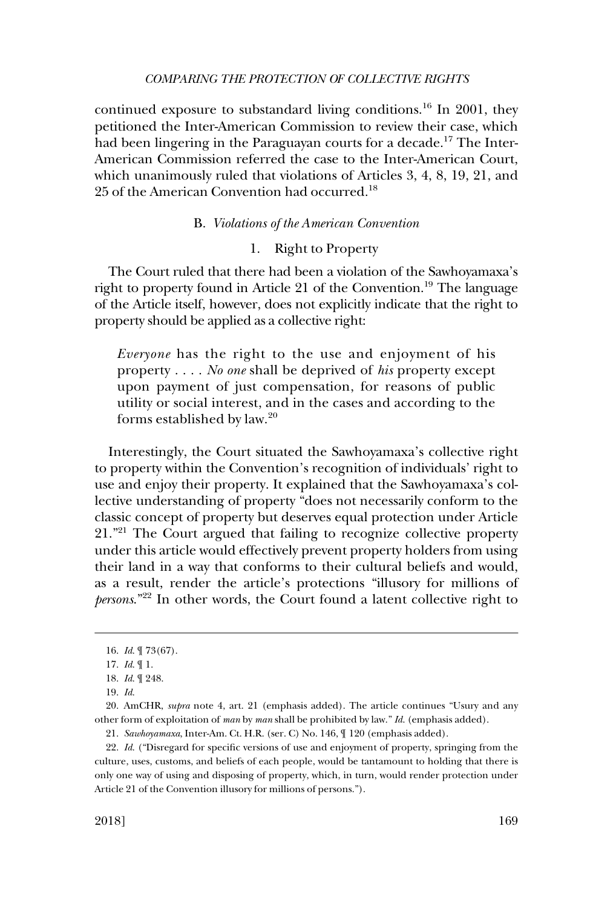<span id="page-6-0"></span>continued exposure to substandard living conditions.<sup>16</sup> In 2001, they petitioned the Inter-American Commission to review their case, which had been lingering in the Paraguayan courts for a decade.<sup>17</sup> The Inter-American Commission referred the case to the Inter-American Court, which unanimously ruled that violations of Articles 3, 4, 8, 19, 21, and 25 of the American Convention had occurred.<sup>18</sup>

### B. *Violations of the American Convention*

# 1. Right to Property

The Court ruled that there had been a violation of the Sawhoyamaxa's right to property found in Article 21 of the Convention.<sup>19</sup> The language of the Article itself, however, does not explicitly indicate that the right to property should be applied as a collective right:

*Everyone* has the right to the use and enjoyment of his property . . . . *No one* shall be deprived of *his* property except upon payment of just compensation, for reasons of public utility or social interest, and in the cases and according to the forms established by law.<sup>20</sup>

Interestingly, the Court situated the Sawhoyamaxa's collective right to property within the Convention's recognition of individuals' right to use and enjoy their property. It explained that the Sawhoyamaxa's collective understanding of property "does not necessarily conform to the classic concept of property but deserves equal protection under Article 21."<sup>21</sup> The Court argued that failing to recognize collective property under this article would effectively prevent property holders from using their land in a way that conforms to their cultural beliefs and would, as a result, render the article's protections "illusory for millions of *persons*."22 In other words, the Court found a latent collective right to

<sup>16.</sup> *Id*. ¶ 73(67).

<sup>17.</sup> *Id*. ¶ 1.

<sup>18.</sup> *Id*. ¶ 248.

<sup>19.</sup> *Id*.

<sup>20.</sup> AmCHR, *supra* note 4, art. 21 (emphasis added). The article continues "Usury and any other form of exploitation of *man* by *man* shall be prohibited by law." *Id*. (emphasis added).

<sup>21.</sup> *Sawhoyamaxa*, Inter-Am. Ct. H.R. (ser. C) No. 146, ¶ 120 (emphasis added).

<sup>22.</sup> *Id*. ("Disregard for specific versions of use and enjoyment of property, springing from the culture, uses, customs, and beliefs of each people, would be tantamount to holding that there is only one way of using and disposing of property, which, in turn, would render protection under Article 21 of the Convention illusory for millions of persons.").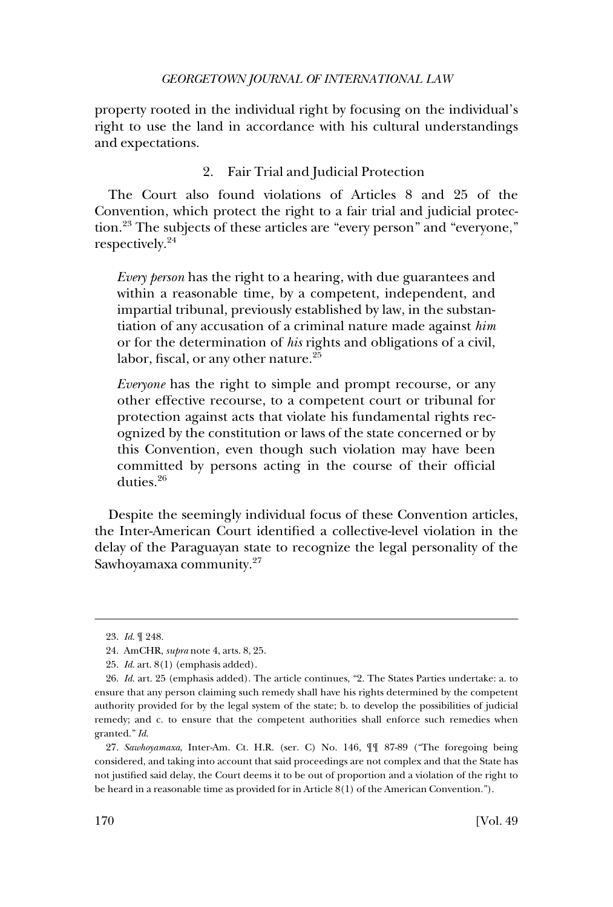<span id="page-7-0"></span>property rooted in the individual right by focusing on the individual's right to use the land in accordance with his cultural understandings and expectations.

# 2. Fair Trial and Judicial Protection

The Court also found violations of Articles 8 and 25 of the Convention, which protect the right to a fair trial and judicial protection.23 The subjects of these articles are "every person" and "everyone," respectively.24

*Every person* has the right to a hearing, with due guarantees and within a reasonable time, by a competent, independent, and impartial tribunal, previously established by law, in the substantiation of any accusation of a criminal nature made against *him*  or for the determination of *his* rights and obligations of a civil, labor, fiscal, or any other nature.<sup>25</sup>

*Everyone* has the right to simple and prompt recourse, or any other effective recourse, to a competent court or tribunal for protection against acts that violate his fundamental rights recognized by the constitution or laws of the state concerned or by this Convention, even though such violation may have been committed by persons acting in the course of their official duties.<sup>26</sup>

Despite the seemingly individual focus of these Convention articles, the Inter-American Court identified a collective-level violation in the delay of the Paraguayan state to recognize the legal personality of the Sawhoyamaxa community.<sup>27</sup>

<sup>23.</sup> *Id*. ¶ 248.

<sup>24.</sup> AmCHR, *supra* note 4, arts. 8, 25.

<sup>25.</sup> *Id*. art. 8(1) (emphasis added).

<sup>26.</sup> *Id*. art. 25 (emphasis added). The article continues, "2. The States Parties undertake: a. to ensure that any person claiming such remedy shall have his rights determined by the competent authority provided for by the legal system of the state; b. to develop the possibilities of judicial remedy; and c. to ensure that the competent authorities shall enforce such remedies when granted." *Id*.

<sup>27.</sup> *Sawhoyamaxa*, Inter-Am. Ct. H.R. (ser. C) No. 146, ¶¶ 87-89 ("The foregoing being considered, and taking into account that said proceedings are not complex and that the State has not justified said delay, the Court deems it to be out of proportion and a violation of the right to be heard in a reasonable time as provided for in Article 8(1) of the American Convention.").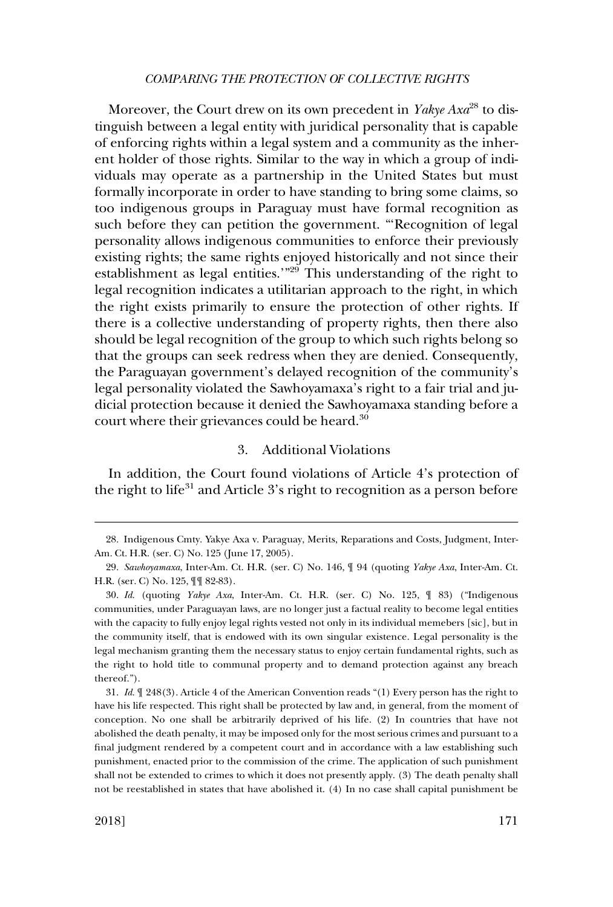<span id="page-8-0"></span>Moreover, the Court drew on its own precedent in *Yakye Axa*<sup>28</sup> to distinguish between a legal entity with juridical personality that is capable of enforcing rights within a legal system and a community as the inherent holder of those rights. Similar to the way in which a group of individuals may operate as a partnership in the United States but must formally incorporate in order to have standing to bring some claims, so too indigenous groups in Paraguay must have formal recognition as such before they can petition the government. "'Recognition of legal personality allows indigenous communities to enforce their previously existing rights; the same rights enjoyed historically and not since their establishment as legal entities.'"29 This understanding of the right to legal recognition indicates a utilitarian approach to the right, in which the right exists primarily to ensure the protection of other rights. If there is a collective understanding of property rights, then there also should be legal recognition of the group to which such rights belong so that the groups can seek redress when they are denied. Consequently, the Paraguayan government's delayed recognition of the community's legal personality violated the Sawhoyamaxa's right to a fair trial and judicial protection because it denied the Sawhoyamaxa standing before a court where their grievances could be heard.<sup>30</sup>

### 3. Additional Violations

In addition, the Court found violations of Article 4's protection of the right to life $31$  and Article  $3$ 's right to recognition as a person before

<sup>28.</sup> Indigenous Cmty. Yakye Axa v. Paraguay, Merits, Reparations and Costs, Judgment, Inter-Am. Ct. H.R. (ser. C) No. 125 (June 17, 2005).

<sup>29.</sup> *Sawhoyamaxa*, Inter-Am. Ct. H.R. (ser. C) No. 146, ¶ 94 (quoting *Yakye Axa*, Inter-Am. Ct. H.R. (ser. C) No. 125, ¶¶ 82-83).

<sup>30.</sup> *Id*. (quoting *Yakye Axa*, Inter-Am. Ct. H.R. (ser. C) No. 125, ¶ 83) ("Indigenous communities, under Paraguayan laws, are no longer just a factual reality to become legal entities with the capacity to fully enjoy legal rights vested not only in its individual memebers [sic], but in the community itself, that is endowed with its own singular existence. Legal personality is the legal mechanism granting them the necessary status to enjoy certain fundamental rights, such as the right to hold title to communal property and to demand protection against any breach thereof.").

<sup>31.</sup> *Id*. ¶ 248(3). Article 4 of the American Convention reads "(1) Every person has the right to have his life respected. This right shall be protected by law and, in general, from the moment of conception. No one shall be arbitrarily deprived of his life. (2) In countries that have not abolished the death penalty, it may be imposed only for the most serious crimes and pursuant to a final judgment rendered by a competent court and in accordance with a law establishing such punishment, enacted prior to the commission of the crime. The application of such punishment shall not be extended to crimes to which it does not presently apply. (3) The death penalty shall not be reestablished in states that have abolished it. (4) In no case shall capital punishment be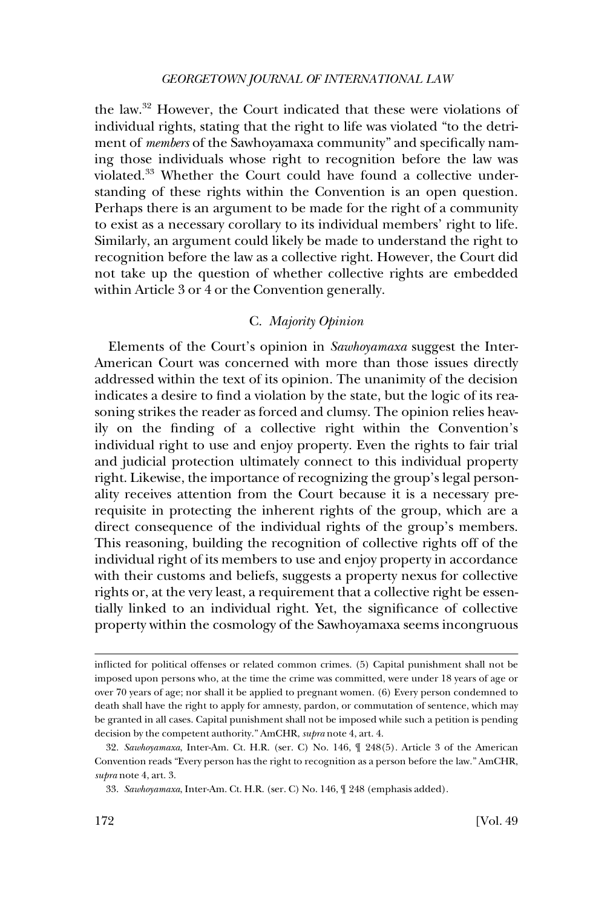<span id="page-9-0"></span>the law.32 However, the Court indicated that these were violations of individual rights, stating that the right to life was violated "to the detriment of *members* of the Sawhoyamaxa community" and specifically naming those individuals whose right to recognition before the law was violated.<sup>33</sup> Whether the Court could have found a collective understanding of these rights within the Convention is an open question. Perhaps there is an argument to be made for the right of a community to exist as a necessary corollary to its individual members' right to life. Similarly, an argument could likely be made to understand the right to recognition before the law as a collective right. However, the Court did not take up the question of whether collective rights are embedded within Article 3 or 4 or the Convention generally.

# C. *Majority Opinion*

Elements of the Court's opinion in *Sawhoyamaxa* suggest the Inter-American Court was concerned with more than those issues directly addressed within the text of its opinion. The unanimity of the decision indicates a desire to find a violation by the state, but the logic of its reasoning strikes the reader as forced and clumsy. The opinion relies heavily on the finding of a collective right within the Convention's individual right to use and enjoy property. Even the rights to fair trial and judicial protection ultimately connect to this individual property right. Likewise, the importance of recognizing the group's legal personality receives attention from the Court because it is a necessary prerequisite in protecting the inherent rights of the group, which are a direct consequence of the individual rights of the group's members. This reasoning, building the recognition of collective rights off of the individual right of its members to use and enjoy property in accordance with their customs and beliefs, suggests a property nexus for collective rights or, at the very least, a requirement that a collective right be essentially linked to an individual right. Yet, the significance of collective property within the cosmology of the Sawhoyamaxa seems incongruous

inflicted for political offenses or related common crimes. (5) Capital punishment shall not be imposed upon persons who, at the time the crime was committed, were under 18 years of age or over 70 years of age; nor shall it be applied to pregnant women. (6) Every person condemned to death shall have the right to apply for amnesty, pardon, or commutation of sentence, which may be granted in all cases. Capital punishment shall not be imposed while such a petition is pending decision by the competent authority." AmCHR, *supra* note 4, art. 4.

<sup>32.</sup> *Sawhoyamaxa*, Inter-Am. Ct. H.R. (ser. C) No. 146, ¶ 248(5). Article 3 of the American Convention reads "Every person has the right to recognition as a person before the law." AmCHR, *supra* note 4, art. 3.

<sup>33.</sup> *Sawhoyamaxa*, Inter-Am. Ct. H.R. (ser. C) No. 146, ¶ 248 (emphasis added).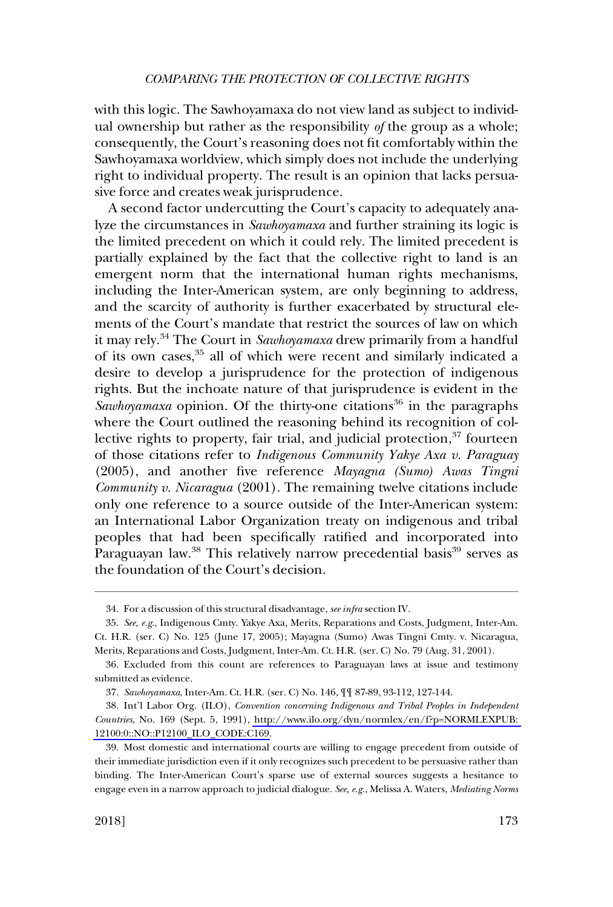with this logic. The Sawhoyamaxa do not view land as subject to individual ownership but rather as the responsibility *of* the group as a whole; consequently, the Court's reasoning does not fit comfortably within the Sawhoyamaxa worldview, which simply does not include the underlying right to individual property. The result is an opinion that lacks persuasive force and creates weak jurisprudence.

A second factor undercutting the Court's capacity to adequately analyze the circumstances in *Sawhoyamaxa* and further straining its logic is the limited precedent on which it could rely. The limited precedent is partially explained by the fact that the collective right to land is an emergent norm that the international human rights mechanisms, including the Inter-American system, are only beginning to address, and the scarcity of authority is further exacerbated by structural elements of the Court's mandate that restrict the sources of law on which it may rely.34 The Court in *Sawhoyamaxa* drew primarily from a handful of its own cases,<sup>35</sup> all of which were recent and similarly indicated a desire to develop a jurisprudence for the protection of indigenous rights. But the inchoate nature of that jurisprudence is evident in the *Sawhoyamaxa* opinion. Of the thirty-one citations<sup>36</sup> in the paragraphs where the Court outlined the reasoning behind its recognition of collective rights to property, fair trial, and judicial protection,<sup>37</sup> fourteen of those citations refer to *Indigenous Community Yakye Axa v. Paraguay*  (2005), and another five reference *Mayagna (Sumo) Awas Tingni Community v. Nicaragua* (2001). The remaining twelve citations include only one reference to a source outside of the Inter-American system: an International Labor Organization treaty on indigenous and tribal peoples that had been specifically ratified and incorporated into Paraguayan law.<sup>38</sup> This relatively narrow precedential basis<sup>39</sup> serves as the foundation of the Court's decision.

<sup>34.</sup> For a discussion of this structural disadvantage, *see infra* section IV.

<sup>35.</sup> *See, e.g*., Indigenous Cmty. Yakye Axa, Merits, Reparations and Costs, Judgment, Inter-Am. Ct. H.R. (ser. C) No. 125 (June 17, 2005); Mayagna (Sumo) Awas Tingni Cmty. v. Nicaragua, Merits, Reparations and Costs, Judgment, Inter-Am. Ct. H.R. (ser. C) No. 79 (Aug. 31, 2001).

<sup>36.</sup> Excluded from this count are references to Paraguayan laws at issue and testimony submitted as evidence.

<sup>37.</sup> *Sawhoyamaxa*, Inter-Am. Ct. H.R. (ser. C) No. 146, ¶¶ 87-89, 93-112, 127-144.

Int'l Labor Org. (ILO), *Convention concerning Indigenous and Tribal Peoples in Independent*  38. *Countries*, No. 169 (Sept. 5, 1991), [http://www.ilo.org/dyn/normlex/en/f?p=NORMLEXPUB:](http://www.ilo.org/dyn/normlex/en/f?p=NORMLEXPUB:12100:0::NO::P12100_ILO_CODE:C169)  [12100:0::NO::P12100\\_ILO\\_CODE:C169.](http://www.ilo.org/dyn/normlex/en/f?p=NORMLEXPUB:12100:0::NO::P12100_ILO_CODE:C169)

<sup>39.</sup> Most domestic and international courts are willing to engage precedent from outside of their immediate jurisdiction even if it only recognizes such precedent to be persuasive rather than binding. The Inter-American Court's sparse use of external sources suggests a hesitance to engage even in a narrow approach to judicial dialogue. *See, e.g*., Melissa A. Waters, *Mediating Norms*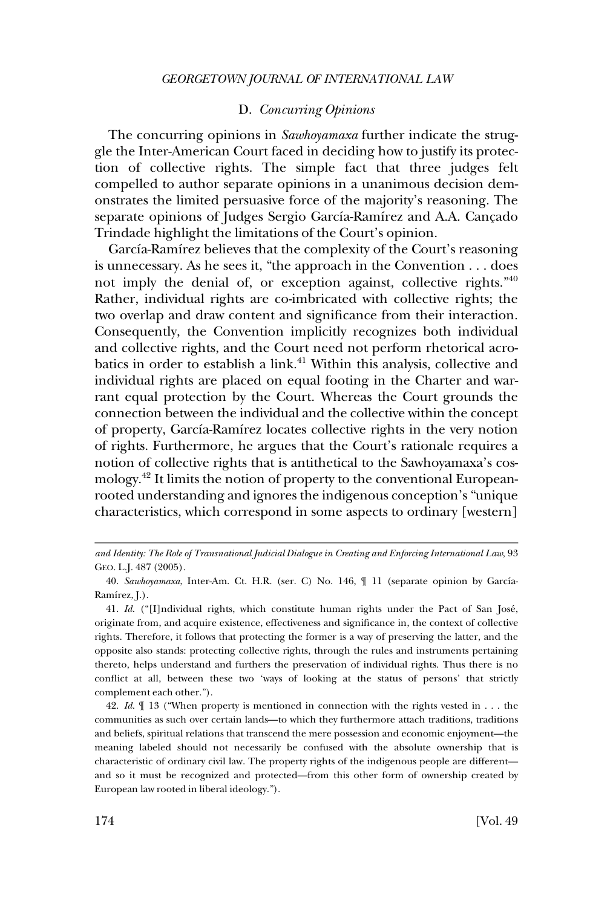### D. *Concurring Opinions*

<span id="page-11-0"></span>The concurring opinions in *Sawhoyamaxa* further indicate the struggle the Inter-American Court faced in deciding how to justify its protection of collective rights. The simple fact that three judges felt compelled to author separate opinions in a unanimous decision demonstrates the limited persuasive force of the majority's reasoning. The separate opinions of Judges Sergio García-Ramírez and A.A. Cançado Trindade highlight the limitations of the Court's opinion.

García-Ramírez believes that the complexity of the Court's reasoning is unnecessary. As he sees it, "the approach in the Convention . . . does not imply the denial of, or exception against, collective rights."40 Rather, individual rights are co-imbricated with collective rights; the two overlap and draw content and significance from their interaction. Consequently, the Convention implicitly recognizes both individual and collective rights, and the Court need not perform rhetorical acrobatics in order to establish a link.<sup>41</sup> Within this analysis, collective and individual rights are placed on equal footing in the Charter and warrant equal protection by the Court. Whereas the Court grounds the connection between the individual and the collective within the concept of property, García-Ramírez locates collective rights in the very notion of rights. Furthermore, he argues that the Court's rationale requires a notion of collective rights that is antithetical to the Sawhoyamaxa's cosmology.42 It limits the notion of property to the conventional Europeanrooted understanding and ignores the indigenous conception's "unique characteristics, which correspond in some aspects to ordinary [western]

*and Identity: The Role of Transnational Judicial Dialogue in Creating and Enforcing International Law*, 93 GEO. L.J. 487 (2005).

<sup>40.</sup> Sawhoyamaxa, Inter-Am. Ct. H.R. (ser. C) No. 146,  $\P$  11 (separate opinion by García-Ramírez, J.).

<sup>41.</sup> *Id.* ("[I]ndividual rights, which constitute human rights under the Pact of San José, originate from, and acquire existence, effectiveness and significance in, the context of collective rights. Therefore, it follows that protecting the former is a way of preserving the latter, and the opposite also stands: protecting collective rights, through the rules and instruments pertaining thereto, helps understand and furthers the preservation of individual rights. Thus there is no conflict at all, between these two 'ways of looking at the status of persons' that strictly complement each other.").

<sup>42.</sup> *Id*. ¶ 13 ("When property is mentioned in connection with the rights vested in . . . the communities as such over certain lands—to which they furthermore attach traditions, traditions and beliefs, spiritual relations that transcend the mere possession and economic enjoyment—the meaning labeled should not necessarily be confused with the absolute ownership that is characteristic of ordinary civil law. The property rights of the indigenous people are different and so it must be recognized and protected—from this other form of ownership created by European law rooted in liberal ideology.").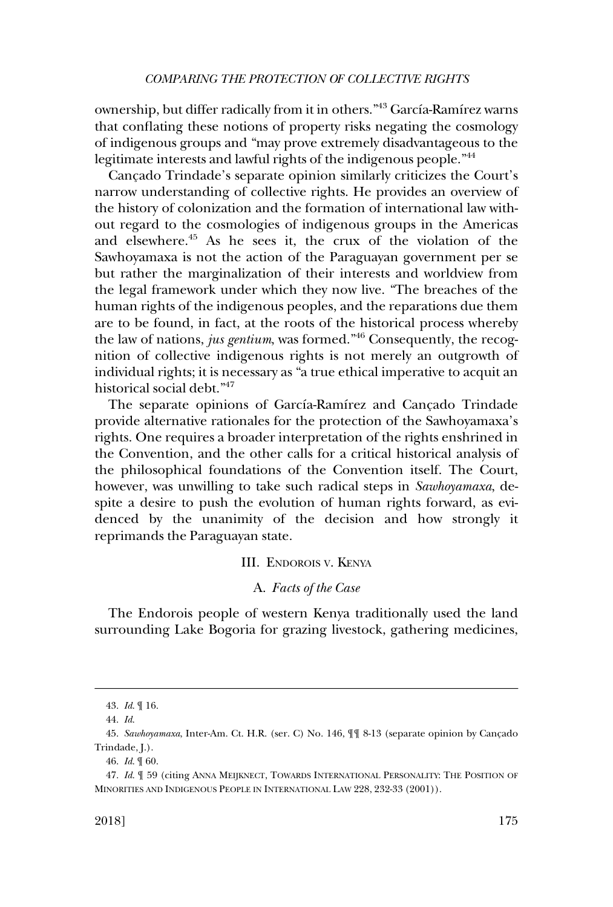<span id="page-12-0"></span>ownership, but differ radically from it in others."<sup>43</sup> García-Ramírez warns that conflating these notions of property risks negating the cosmology of indigenous groups and "may prove extremely disadvantageous to the legitimate interests and lawful rights of the indigenous people.<sup>"44</sup>

Cancado Trindade's separate opinion similarly criticizes the Court's narrow understanding of collective rights. He provides an overview of the history of colonization and the formation of international law without regard to the cosmologies of indigenous groups in the Americas and elsewhere.45 As he sees it, the crux of the violation of the Sawhoyamaxa is not the action of the Paraguayan government per se but rather the marginalization of their interests and worldview from the legal framework under which they now live. "The breaches of the human rights of the indigenous peoples, and the reparations due them are to be found, in fact, at the roots of the historical process whereby the law of nations, *jus gentium*, was formed."46 Consequently, the recognition of collective indigenous rights is not merely an outgrowth of individual rights; it is necessary as "a true ethical imperative to acquit an historical social debt."47

The separate opinions of García-Ramírez and Cançado Trindade provide alternative rationales for the protection of the Sawhoyamaxa's rights. One requires a broader interpretation of the rights enshrined in the Convention, and the other calls for a critical historical analysis of the philosophical foundations of the Convention itself. The Court, however, was unwilling to take such radical steps in *Sawhoyamaxa*, despite a desire to push the evolution of human rights forward, as evidenced by the unanimity of the decision and how strongly it reprimands the Paraguayan state.

#### III. ENDOROIS V. KENYA

# A. *Facts of the Case*

The Endorois people of western Kenya traditionally used the land surrounding Lake Bogoria for grazing livestock, gathering medicines,

<sup>43.</sup> *Id*. ¶ 16.

<sup>44.</sup> *Id*.

<sup>45.</sup> Sawhoyamaxa, Inter-Am. Ct. H.R. (ser. C) No. 146,  $\parallel$  § 8-13 (separate opinion by Cançado Trindade, J.).

<sup>46.</sup> *Id*. ¶ 60.

<sup>47.</sup> *Id.*  $\parallel$  59 (citing ANNA MEIJKNECT, TOWARDS INTERNATIONAL PERSONALITY: THE POSITION OF MINORITIES AND INDIGENOUS PEOPLE IN INTERNATIONAL LAW 228, 232-33 (2001)).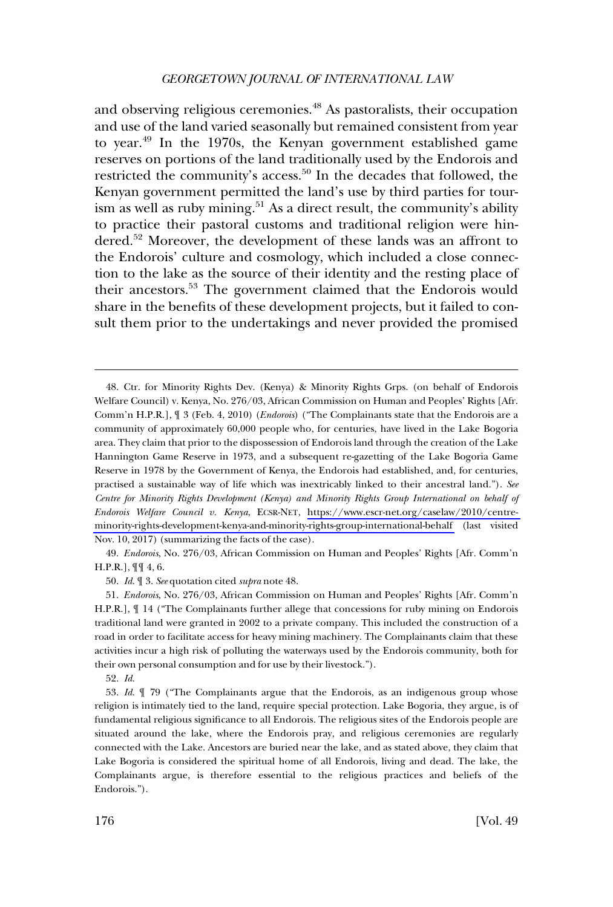and observing religious ceremonies.<sup>48</sup> As pastoralists, their occupation and use of the land varied seasonally but remained consistent from year to year.49 In the 1970s, the Kenyan government established game reserves on portions of the land traditionally used by the Endorois and restricted the community's access.<sup>50</sup> In the decades that followed, the Kenyan government permitted the land's use by third parties for tourism as well as ruby mining.<sup>51</sup> As a direct result, the community's ability to practice their pastoral customs and traditional religion were hindered.52 Moreover, the development of these lands was an affront to the Endorois' culture and cosmology, which included a close connection to the lake as the source of their identity and the resting place of their ancestors.53 The government claimed that the Endorois would share in the benefits of these development projects, but it failed to consult them prior to the undertakings and never provided the promised

49. *Endorois*, No. 276/03, African Commission on Human and Peoples' Rights [Afr. Comm'n H.P.R.], ¶¶ 4, 6.

50. *Id*. ¶ 3. *See* quotation cited *supra* note 48.

52. *Id*.

Ctr. for Minority Rights Dev. (Kenya) & Minority Rights Grps. (on behalf of Endorois 48. Welfare Council) v. Kenya, No. 276/03, African Commission on Human and Peoples' Rights [Afr. Comm'n H.P.R.], ¶ 3 (Feb. 4, 2010) (*Endorois*) ("The Complainants state that the Endorois are a community of approximately 60,000 people who, for centuries, have lived in the Lake Bogoria area. They claim that prior to the dispossession of Endorois land through the creation of the Lake Hannington Game Reserve in 1973, and a subsequent re-gazetting of the Lake Bogoria Game Reserve in 1978 by the Government of Kenya, the Endorois had established, and, for centuries, practised a sustainable way of life which was inextricably linked to their ancestral land."). *See Centre for Minority Rights Development (Kenya) and Minority Rights Group International on behalf of Endorois Welfare Council v. Kenya*, ECSR-NET, [https://www.escr-net.org/caselaw/2010/centre](https://www.escr-net.org/caselaw/2010/centre-minority-rights-development-kenya-and-minority-rights-group-international-behalf)[minority-rights-development-kenya-and-minority-rights-group-international-behalf](https://www.escr-net.org/caselaw/2010/centre-minority-rights-development-kenya-and-minority-rights-group-international-behalf) (last visited Nov. 10, 2017) (summarizing the facts of the case).

<sup>51.</sup> *Endorois*, No. 276/03, African Commission on Human and Peoples' Rights [Afr. Comm'n H.P.R.], ¶ 14 ("The Complainants further allege that concessions for ruby mining on Endorois traditional land were granted in 2002 to a private company. This included the construction of a road in order to facilitate access for heavy mining machinery. The Complainants claim that these activities incur a high risk of polluting the waterways used by the Endorois community, both for their own personal consumption and for use by their livestock.").

<sup>53.</sup> *Id*. ¶ 79 ("The Complainants argue that the Endorois, as an indigenous group whose religion is intimately tied to the land, require special protection. Lake Bogoria, they argue, is of fundamental religious significance to all Endorois. The religious sites of the Endorois people are situated around the lake, where the Endorois pray, and religious ceremonies are regularly connected with the Lake. Ancestors are buried near the lake, and as stated above, they claim that Lake Bogoria is considered the spiritual home of all Endorois, living and dead. The lake, the Complainants argue, is therefore essential to the religious practices and beliefs of the Endorois.").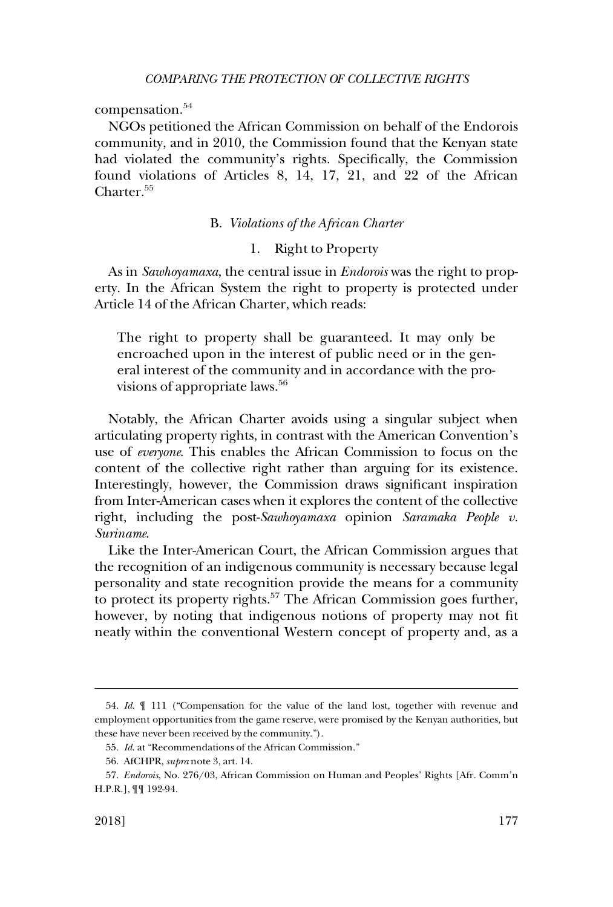<span id="page-14-0"></span>compensation.<sup>54</sup>

NGOs petitioned the African Commission on behalf of the Endorois community, and in 2010, the Commission found that the Kenyan state had violated the community's rights. Specifically, the Commission found violations of Articles 8, 14, 17, 21, and 22 of the African Charter.<sup>55</sup>

### B. *Violations of the African Charter*

# 1. Right to Property

As in *Sawhoyamaxa*, the central issue in *Endorois* was the right to property. In the African System the right to property is protected under Article 14 of the African Charter, which reads:

The right to property shall be guaranteed. It may only be encroached upon in the interest of public need or in the general interest of the community and in accordance with the provisions of appropriate laws.<sup>56</sup>

Notably, the African Charter avoids using a singular subject when articulating property rights, in contrast with the American Convention's use of *everyone*. This enables the African Commission to focus on the content of the collective right rather than arguing for its existence. Interestingly, however, the Commission draws significant inspiration from Inter-American cases when it explores the content of the collective right, including the post-*Sawhoyamaxa* opinion *Saramaka People v. Suriname*.

Like the Inter-American Court, the African Commission argues that the recognition of an indigenous community is necessary because legal personality and state recognition provide the means for a community to protect its property rights.<sup>57</sup> The African Commission goes further, however, by noting that indigenous notions of property may not fit neatly within the conventional Western concept of property and, as a

<sup>54.</sup> *Id*. ¶ 111 ("Compensation for the value of the land lost, together with revenue and employment opportunities from the game reserve, were promised by the Kenyan authorities, but these have never been received by the community.").

<sup>55.</sup> *Id*. at "Recommendations of the African Commission."

<sup>56.</sup> AfCHPR, *supra* note 3, art. 14.

<sup>57.</sup> *Endorois*, No. 276/03, African Commission on Human and Peoples' Rights [Afr. Comm'n H.P.R.], ¶¶ 192-94.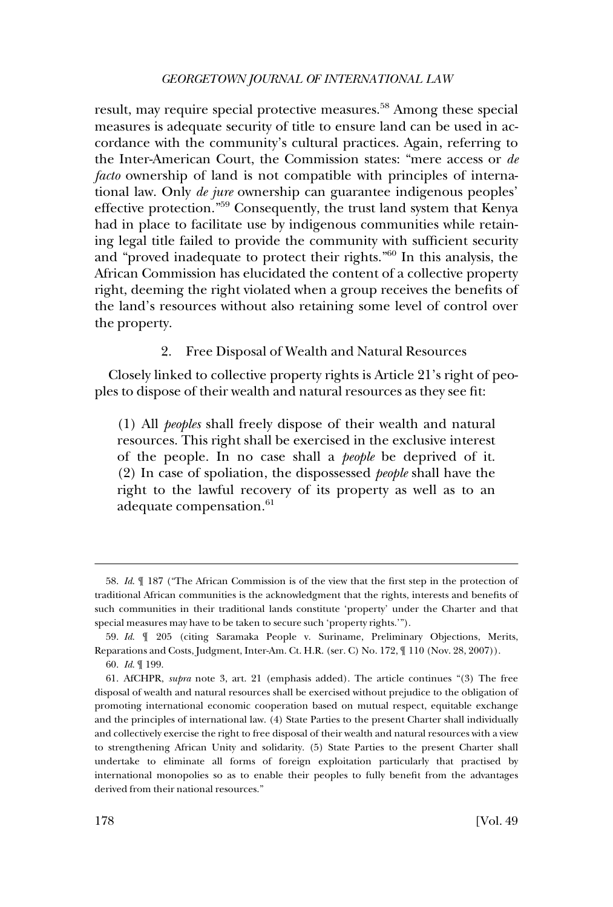<span id="page-15-0"></span>result, may require special protective measures.<sup>58</sup> Among these special measures is adequate security of title to ensure land can be used in accordance with the community's cultural practices. Again, referring to the Inter-American Court, the Commission states: "mere access or *de facto* ownership of land is not compatible with principles of international law. Only *de jure* ownership can guarantee indigenous peoples' effective protection."59 Consequently, the trust land system that Kenya had in place to facilitate use by indigenous communities while retaining legal title failed to provide the community with sufficient security and "proved inadequate to protect their rights."60 In this analysis, the African Commission has elucidated the content of a collective property right, deeming the right violated when a group receives the benefits of the land's resources without also retaining some level of control over the property.

### 2. Free Disposal of Wealth and Natural Resources

Closely linked to collective property rights is Article 21's right of peoples to dispose of their wealth and natural resources as they see fit:

(1) All *peoples* shall freely dispose of their wealth and natural resources. This right shall be exercised in the exclusive interest of the people. In no case shall a *people* be deprived of it. (2) In case of spoliation, the dispossessed *people* shall have the right to the lawful recovery of its property as well as to an adequate compensation.<sup>61</sup>

<sup>58.</sup> *Id*. ¶ 187 ("The African Commission is of the view that the first step in the protection of traditional African communities is the acknowledgment that the rights, interests and benefits of such communities in their traditional lands constitute 'property' under the Charter and that special measures may have to be taken to secure such 'property rights.'").

<sup>59.</sup> *Id*. ¶ 205 (citing Saramaka People v. Suriname, Preliminary Objections, Merits, Reparations and Costs, Judgment, Inter-Am. Ct. H.R. (ser. C) No. 172, ¶ 110 (Nov. 28, 2007)).

<sup>60.</sup> *Id*. ¶ 199.

<sup>61.</sup> AfCHPR, *supra* note 3, art. 21 (emphasis added). The article continues "(3) The free disposal of wealth and natural resources shall be exercised without prejudice to the obligation of promoting international economic cooperation based on mutual respect, equitable exchange and the principles of international law. (4) State Parties to the present Charter shall individually and collectively exercise the right to free disposal of their wealth and natural resources with a view to strengthening African Unity and solidarity. (5) State Parties to the present Charter shall undertake to eliminate all forms of foreign exploitation particularly that practised by international monopolies so as to enable their peoples to fully benefit from the advantages derived from their national resources."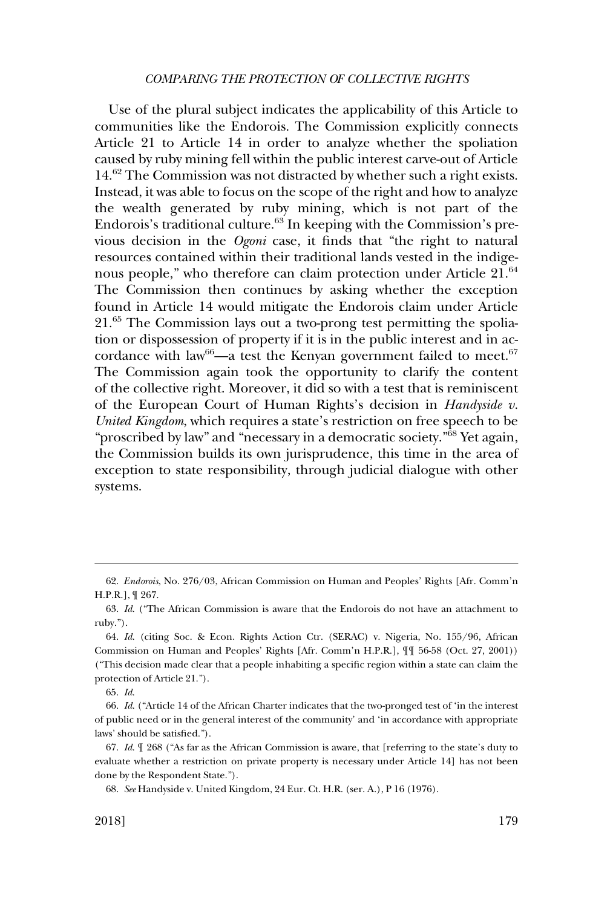Use of the plural subject indicates the applicability of this Article to communities like the Endorois. The Commission explicitly connects Article 21 to Article 14 in order to analyze whether the spoliation caused by ruby mining fell within the public interest carve-out of Article 14.62 The Commission was not distracted by whether such a right exists. Instead, it was able to focus on the scope of the right and how to analyze the wealth generated by ruby mining, which is not part of the Endorois's traditional culture.63 In keeping with the Commission's previous decision in the *Ogoni* case, it finds that "the right to natural resources contained within their traditional lands vested in the indigenous people," who therefore can claim protection under Article 21.<sup>64</sup> The Commission then continues by asking whether the exception found in Article 14 would mitigate the Endorois claim under Article 21.65 The Commission lays out a two-prong test permitting the spoliation or dispossession of property if it is in the public interest and in accordance with law<sup>66</sup>—a test the Kenyan government failed to meet.<sup>67</sup> The Commission again took the opportunity to clarify the content of the collective right. Moreover, it did so with a test that is reminiscent of the European Court of Human Rights's decision in *Handyside v. United Kingdom*, which requires a state's restriction on free speech to be "proscribed by law" and "necessary in a democratic society."68 Yet again, the Commission builds its own jurisprudence, this time in the area of exception to state responsibility, through judicial dialogue with other systems.

<sup>62.</sup> *Endorois*, No. 276/03, African Commission on Human and Peoples' Rights [Afr. Comm'n H.P.R.], ¶ 267.

<sup>63.</sup> *Id*. ("The African Commission is aware that the Endorois do not have an attachment to ruby.").

<sup>64.</sup> *Id*. (citing Soc. & Econ. Rights Action Ctr. (SERAC) v. Nigeria, No. 155/96, African Commission on Human and Peoples' Rights [Afr. Comm'n H.P.R.], ¶¶ 56-58 (Oct. 27, 2001)) ("This decision made clear that a people inhabiting a specific region within a state can claim the protection of Article 21.").

<sup>65.</sup> *Id*.

<sup>66.</sup> *Id*. ("Article 14 of the African Charter indicates that the two-pronged test of 'in the interest of public need or in the general interest of the community' and 'in accordance with appropriate laws' should be satisfied.").

<sup>67.</sup> *Id*. ¶ 268 ("As far as the African Commission is aware, that [referring to the state's duty to evaluate whether a restriction on private property is necessary under Article 14] has not been done by the Respondent State.").

<sup>68.</sup> *See* Handyside v. United Kingdom, 24 Eur. Ct. H.R. (ser. A.), P 16 (1976).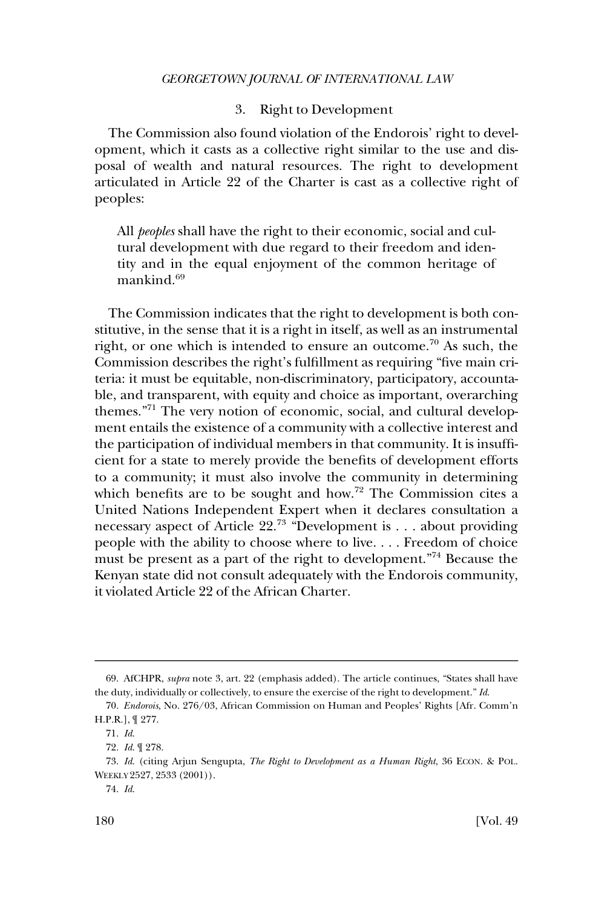### 3. Right to Development

<span id="page-17-0"></span>The Commission also found violation of the Endorois' right to development, which it casts as a collective right similar to the use and disposal of wealth and natural resources. The right to development articulated in Article 22 of the Charter is cast as a collective right of peoples:

All *peoples* shall have the right to their economic, social and cultural development with due regard to their freedom and identity and in the equal enjoyment of the common heritage of mankind.<sup>69</sup>

The Commission indicates that the right to development is both constitutive, in the sense that it is a right in itself, as well as an instrumental right, or one which is intended to ensure an outcome.<sup>70</sup> As such, the Commission describes the right's fulfillment as requiring "five main criteria: it must be equitable, non-discriminatory, participatory, accountable, and transparent, with equity and choice as important, overarching themes."71 The very notion of economic, social, and cultural development entails the existence of a community with a collective interest and the participation of individual members in that community. It is insufficient for a state to merely provide the benefits of development efforts to a community; it must also involve the community in determining which benefits are to be sought and how.<sup>72</sup> The Commission cites a United Nations Independent Expert when it declares consultation a necessary aspect of Article  $22^{73}$  "Development is . . . about providing people with the ability to choose where to live. . . . Freedom of choice must be present as a part of the right to development."<sup>74</sup> Because the Kenyan state did not consult adequately with the Endorois community, it violated Article 22 of the African Charter.

<sup>69.</sup> AfCHPR, *supra* note 3, art. 22 (emphasis added). The article continues, "States shall have the duty, individually or collectively, to ensure the exercise of the right to development." *Id*.

<sup>70.</sup> *Endorois*, No. 276/03, African Commission on Human and Peoples' Rights [Afr. Comm'n H.P.R.], ¶ 277.

<sup>71.</sup> *Id*.

<sup>72.</sup> *Id*. ¶ 278.

<sup>73.</sup> *Id*. (citing Arjun Sengupta, *The Right to Development as a Human Right*, 36 ECON. & POL. WEEKLY 2527, 2533 (2001)).

<sup>74.</sup> *Id*.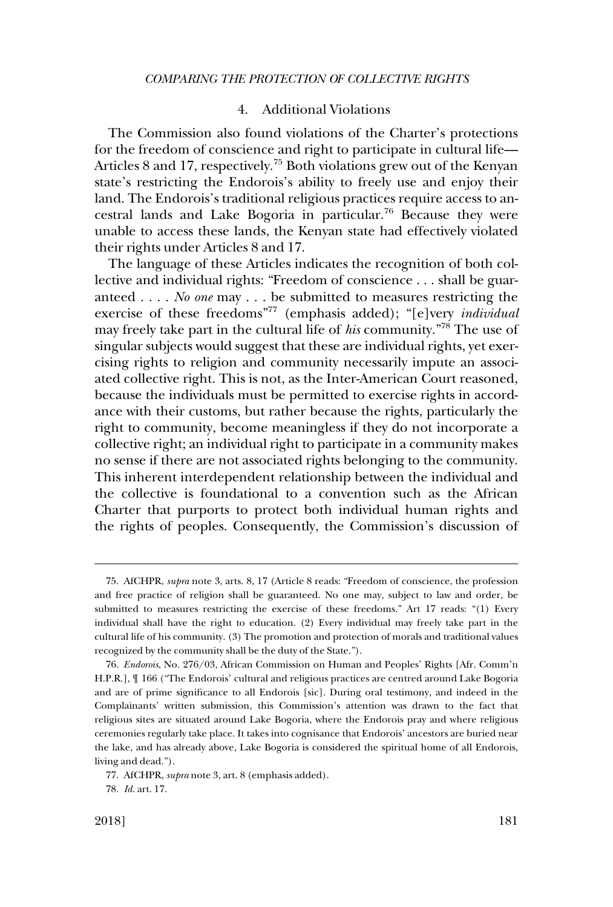# 4. Additional Violations

<span id="page-18-0"></span>The Commission also found violations of the Charter's protections for the freedom of conscience and right to participate in cultural life— Articles 8 and 17, respectively.<sup>75</sup> Both violations grew out of the Kenyan state's restricting the Endorois's ability to freely use and enjoy their land. The Endorois's traditional religious practices require access to ancestral lands and Lake Bogoria in particular.76 Because they were unable to access these lands, the Kenyan state had effectively violated their rights under Articles 8 and 17.

The language of these Articles indicates the recognition of both collective and individual rights: "Freedom of conscience . . . shall be guaranteed . . . . *No one* may . . . be submitted to measures restricting the exercise of these freedoms"77 (emphasis added); "[e]very *individual*  may freely take part in the cultural life of *his* community."78 The use of singular subjects would suggest that these are individual rights, yet exercising rights to religion and community necessarily impute an associated collective right. This is not, as the Inter-American Court reasoned, because the individuals must be permitted to exercise rights in accordance with their customs, but rather because the rights, particularly the right to community, become meaningless if they do not incorporate a collective right; an individual right to participate in a community makes no sense if there are not associated rights belonging to the community. This inherent interdependent relationship between the individual and the collective is foundational to a convention such as the African Charter that purports to protect both individual human rights and the rights of peoples. Consequently, the Commission's discussion of

<sup>75.</sup> AfCHPR, *supra* note 3, arts. 8, 17 (Article 8 reads: "Freedom of conscience, the profession and free practice of religion shall be guaranteed. No one may, subject to law and order, be submitted to measures restricting the exercise of these freedoms." Art 17 reads: "(1) Every individual shall have the right to education. (2) Every individual may freely take part in the cultural life of his community. (3) The promotion and protection of morals and traditional values recognized by the community shall be the duty of the State.").

<sup>76.</sup> *Endorois*, No. 276/03, African Commission on Human and Peoples' Rights [Afr. Comm'n H.P.R.], ¶ 166 ("The Endorois' cultural and religious practices are centred around Lake Bogoria and are of prime significance to all Endorois [sic]. During oral testimony, and indeed in the Complainants' written submission, this Commission's attention was drawn to the fact that religious sites are situated around Lake Bogoria, where the Endorois pray and where religious ceremonies regularly take place. It takes into cognisance that Endorois' ancestors are buried near the lake, and has already above, Lake Bogoria is considered the spiritual home of all Endorois, living and dead.").

<sup>77.</sup> AfCHPR, *supra* note 3, art. 8 (emphasis added).

<sup>78.</sup> *Id*. art. 17.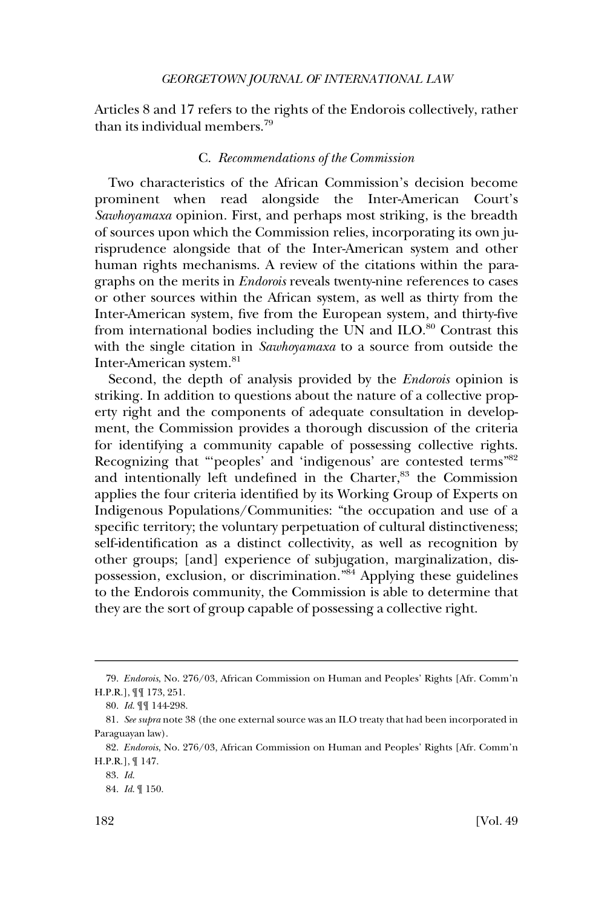<span id="page-19-0"></span>Articles 8 and 17 refers to the rights of the Endorois collectively, rather than its individual members.<sup>79</sup>

### C. *Recommendations of the Commission*

Two characteristics of the African Commission's decision become prominent when read alongside the Inter-American Court's *Sawhoyamaxa* opinion. First, and perhaps most striking, is the breadth of sources upon which the Commission relies, incorporating its own jurisprudence alongside that of the Inter-American system and other human rights mechanisms. A review of the citations within the paragraphs on the merits in *Endorois* reveals twenty-nine references to cases or other sources within the African system, as well as thirty from the Inter-American system, five from the European system, and thirty-five from international bodies including the UN and  $ILO$ <sup>80</sup> Contrast this with the single citation in *Sawhoyamaxa* to a source from outside the Inter-American system.81

Second, the depth of analysis provided by the *Endorois* opinion is striking. In addition to questions about the nature of a collective property right and the components of adequate consultation in development, the Commission provides a thorough discussion of the criteria for identifying a community capable of possessing collective rights. Recognizing that "'peoples' and 'indigenous' are contested terms"<sup>82</sup> and intentionally left undefined in the Charter,<sup>83</sup> the Commission applies the four criteria identified by its Working Group of Experts on Indigenous Populations/Communities: "the occupation and use of a specific territory; the voluntary perpetuation of cultural distinctiveness; self-identification as a distinct collectivity, as well as recognition by other groups; [and] experience of subjugation, marginalization, dispossession, exclusion, or discrimination."84 Applying these guidelines to the Endorois community, the Commission is able to determine that they are the sort of group capable of possessing a collective right.

<sup>79.</sup> *Endorois*, No. 276/03, African Commission on Human and Peoples' Rights [Afr. Comm'n H.P.R.], ¶¶ 173, 251.

<sup>80.</sup> *Id*. ¶¶ 144-298.

<sup>81.</sup> *See supra* note 38 (the one external source was an ILO treaty that had been incorporated in Paraguayan law).

<sup>82.</sup> *Endorois*, No. 276/03, African Commission on Human and Peoples' Rights [Afr. Comm'n H.P.R.], ¶ 147.

<sup>83.</sup> *Id*.

<sup>84.</sup> *Id*. ¶ 150.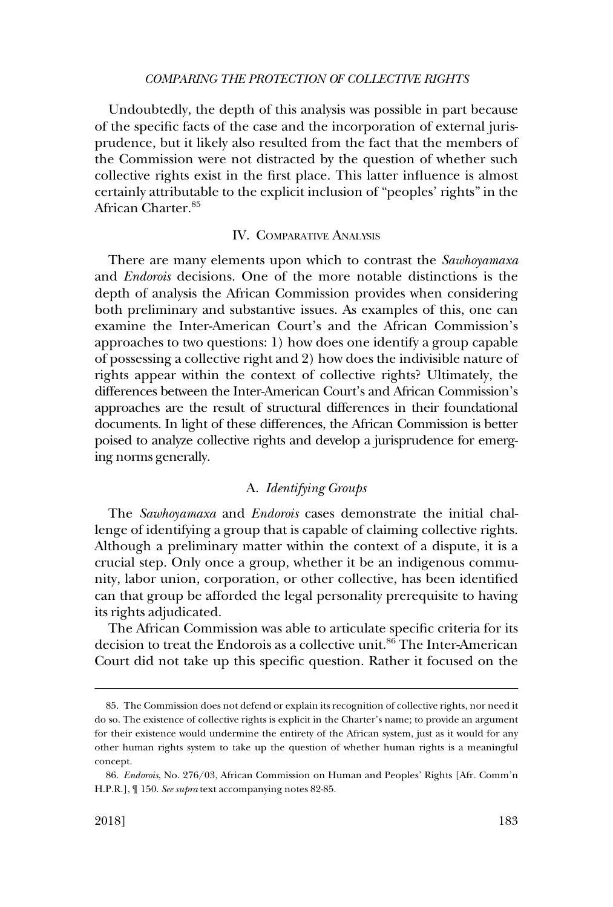<span id="page-20-0"></span>Undoubtedly, the depth of this analysis was possible in part because of the specific facts of the case and the incorporation of external jurisprudence, but it likely also resulted from the fact that the members of the Commission were not distracted by the question of whether such collective rights exist in the first place. This latter influence is almost certainly attributable to the explicit inclusion of "peoples' rights" in the African Charter.85

### IV. COMPARATIVE ANALYSIS

There are many elements upon which to contrast the *Sawhoyamaxa*  and *Endorois* decisions. One of the more notable distinctions is the depth of analysis the African Commission provides when considering both preliminary and substantive issues. As examples of this, one can examine the Inter-American Court's and the African Commission's approaches to two questions: 1) how does one identify a group capable of possessing a collective right and 2) how does the indivisible nature of rights appear within the context of collective rights? Ultimately, the differences between the Inter-American Court's and African Commission's approaches are the result of structural differences in their foundational documents. In light of these differences, the African Commission is better poised to analyze collective rights and develop a jurisprudence for emerging norms generally.

# A. *Identifying Groups*

The *Sawhoyamaxa* and *Endorois* cases demonstrate the initial challenge of identifying a group that is capable of claiming collective rights. Although a preliminary matter within the context of a dispute, it is a crucial step. Only once a group, whether it be an indigenous community, labor union, corporation, or other collective, has been identified can that group be afforded the legal personality prerequisite to having its rights adjudicated.

The African Commission was able to articulate specific criteria for its decision to treat the Endorois as a collective unit.<sup>86</sup> The Inter-American Court did not take up this specific question. Rather it focused on the

<sup>85.</sup> The Commission does not defend or explain its recognition of collective rights, nor need it do so. The existence of collective rights is explicit in the Charter's name; to provide an argument for their existence would undermine the entirety of the African system, just as it would for any other human rights system to take up the question of whether human rights is a meaningful concept.

<sup>86.</sup> *Endorois*, No. 276/03, African Commission on Human and Peoples' Rights [Afr. Comm'n H.P.R.], ¶ 150. *See supra* text accompanying notes 82-85.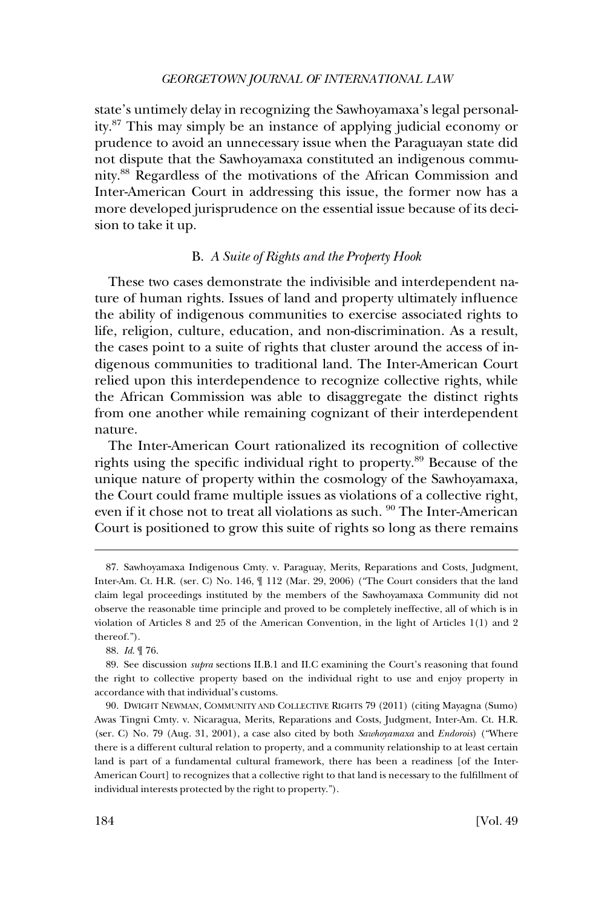<span id="page-21-0"></span>state's untimely delay in recognizing the Sawhoyamaxa's legal personality.87 This may simply be an instance of applying judicial economy or prudence to avoid an unnecessary issue when the Paraguayan state did not dispute that the Sawhoyamaxa constituted an indigenous community.88 Regardless of the motivations of the African Commission and Inter-American Court in addressing this issue, the former now has a more developed jurisprudence on the essential issue because of its decision to take it up.

# B. *A Suite of Rights and the Property Hook*

These two cases demonstrate the indivisible and interdependent nature of human rights. Issues of land and property ultimately influence the ability of indigenous communities to exercise associated rights to life, religion, culture, education, and non-discrimination. As a result, the cases point to a suite of rights that cluster around the access of indigenous communities to traditional land. The Inter-American Court relied upon this interdependence to recognize collective rights, while the African Commission was able to disaggregate the distinct rights from one another while remaining cognizant of their interdependent nature.

The Inter-American Court rationalized its recognition of collective rights using the specific individual right to property.<sup>89</sup> Because of the unique nature of property within the cosmology of the Sawhoyamaxa, the Court could frame multiple issues as violations of a collective right, even if it chose not to treat all violations as such. <sup>90</sup> The Inter-American Court is positioned to grow this suite of rights so long as there remains

<sup>87.</sup> Sawhoyamaxa Indigenous Cmty. v. Paraguay, Merits, Reparations and Costs, Judgment, Inter-Am. Ct. H.R. (ser. C) No. 146, ¶ 112 (Mar. 29, 2006) ("The Court considers that the land claim legal proceedings instituted by the members of the Sawhoyamaxa Community did not observe the reasonable time principle and proved to be completely ineffective, all of which is in violation of Articles 8 and 25 of the American Convention, in the light of Articles 1(1) and 2 thereof.").

<sup>88.</sup> *Id*. ¶ 76.

<sup>89.</sup> See discussion *supra* sections II.B.1 and II.C examining the Court's reasoning that found the right to collective property based on the individual right to use and enjoy property in accordance with that individual's customs.

<sup>90.</sup> DWIGHT NEWMAN, COMMUNITY AND COLLECTIVE RIGHTS 79 (2011) (citing Mayagna (Sumo) Awas Tingni Cmty. v. Nicaragua, Merits, Reparations and Costs, Judgment, Inter-Am. Ct. H.R. (ser. C) No. 79 (Aug. 31, 2001), a case also cited by both *Sawhoyamaxa* and *Endorois*) ("Where there is a different cultural relation to property, and a community relationship to at least certain land is part of a fundamental cultural framework, there has been a readiness [of the Inter-American Court] to recognizes that a collective right to that land is necessary to the fulfillment of individual interests protected by the right to property.").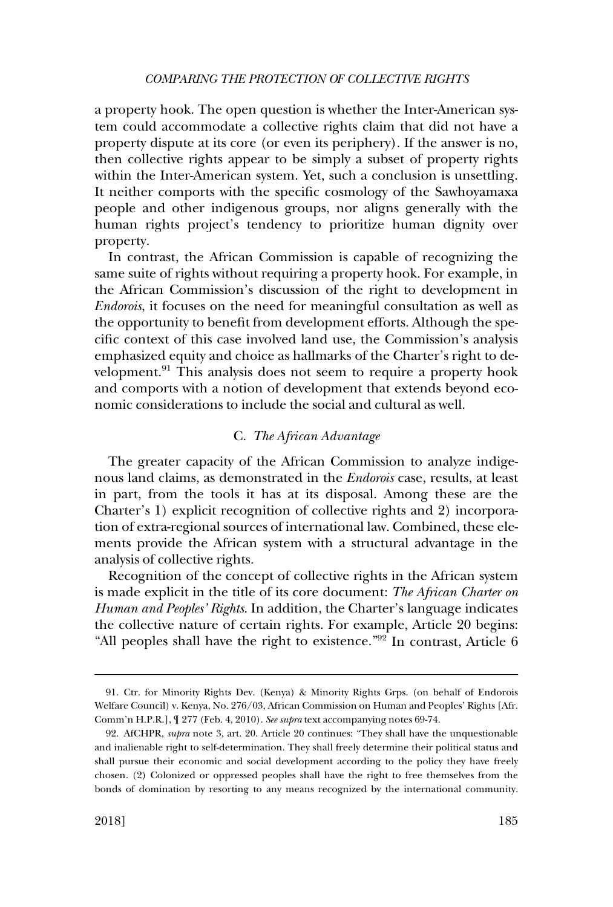<span id="page-22-0"></span>a property hook. The open question is whether the Inter-American system could accommodate a collective rights claim that did not have a property dispute at its core (or even its periphery). If the answer is no, then collective rights appear to be simply a subset of property rights within the Inter-American system. Yet, such a conclusion is unsettling. It neither comports with the specific cosmology of the Sawhoyamaxa people and other indigenous groups, nor aligns generally with the human rights project's tendency to prioritize human dignity over property.

In contrast, the African Commission is capable of recognizing the same suite of rights without requiring a property hook. For example, in the African Commission's discussion of the right to development in *Endorois*, it focuses on the need for meaningful consultation as well as the opportunity to benefit from development efforts. Although the specific context of this case involved land use, the Commission's analysis emphasized equity and choice as hallmarks of the Charter's right to development.<sup>91</sup> This analysis does not seem to require a property hook and comports with a notion of development that extends beyond economic considerations to include the social and cultural as well.

# C. *The African Advantage*

The greater capacity of the African Commission to analyze indigenous land claims, as demonstrated in the *Endorois* case, results, at least in part, from the tools it has at its disposal. Among these are the Charter's 1) explicit recognition of collective rights and 2) incorporation of extra-regional sources of international law. Combined, these elements provide the African system with a structural advantage in the analysis of collective rights.

Recognition of the concept of collective rights in the African system is made explicit in the title of its core document: *The African Charter on Human and Peoples' Rights*. In addition, the Charter's language indicates the collective nature of certain rights. For example, Article 20 begins: "All peoples shall have the right to existence."92 In contrast, Article 6

<sup>91.</sup> Ctr. for Minority Rights Dev. (Kenya) & Minority Rights Grps. (on behalf of Endorois Welfare Council) v. Kenya, No. 276/03, African Commission on Human and Peoples' Rights [Afr. Comm'n H.P.R.], ¶ 277 (Feb. 4, 2010). *See supra* text accompanying notes 69-74.

<sup>92.</sup> AfCHPR, *supra* note 3, art. 20. Article 20 continues: "They shall have the unquestionable and inalienable right to self-determination. They shall freely determine their political status and shall pursue their economic and social development according to the policy they have freely chosen. (2) Colonized or oppressed peoples shall have the right to free themselves from the bonds of domination by resorting to any means recognized by the international community.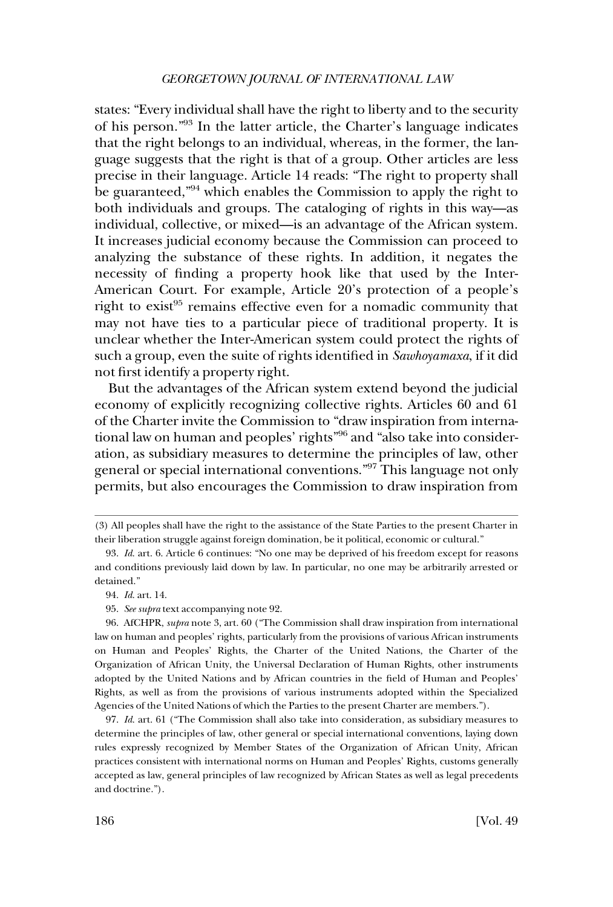states: "Every individual shall have the right to liberty and to the security of his person."<sup>93</sup> In the latter article, the Charter's language indicates that the right belongs to an individual, whereas, in the former, the language suggests that the right is that of a group. Other articles are less precise in their language. Article 14 reads: "The right to property shall be guaranteed,"94 which enables the Commission to apply the right to both individuals and groups. The cataloging of rights in this way—as individual, collective, or mixed—is an advantage of the African system. It increases judicial economy because the Commission can proceed to analyzing the substance of these rights. In addition, it negates the necessity of finding a property hook like that used by the Inter-American Court. For example, Article 20's protection of a people's right to exist<sup>95</sup> remains effective even for a nomadic community that may not have ties to a particular piece of traditional property. It is unclear whether the Inter-American system could protect the rights of such a group, even the suite of rights identified in *Sawhoyamaxa*, if it did not first identify a property right.

But the advantages of the African system extend beyond the judicial economy of explicitly recognizing collective rights. Articles 60 and 61 of the Charter invite the Commission to "draw inspiration from international law on human and peoples' rights"96 and "also take into consideration, as subsidiary measures to determine the principles of law, other general or special international conventions."97 This language not only permits, but also encourages the Commission to draw inspiration from

<sup>(3)</sup> All peoples shall have the right to the assistance of the State Parties to the present Charter in their liberation struggle against foreign domination, be it political, economic or cultural."

<sup>93.</sup> *Id*. art. 6. Article 6 continues: "No one may be deprived of his freedom except for reasons and conditions previously laid down by law. In particular, no one may be arbitrarily arrested or detained."

<sup>94.</sup> *Id*. art. 14.

<sup>95.</sup> *See supra* text accompanying note 92.

<sup>96.</sup> AfCHPR, *supra* note 3, art. 60 ("The Commission shall draw inspiration from international law on human and peoples' rights, particularly from the provisions of various African instruments on Human and Peoples' Rights, the Charter of the United Nations, the Charter of the Organization of African Unity, the Universal Declaration of Human Rights, other instruments adopted by the United Nations and by African countries in the field of Human and Peoples' Rights, as well as from the provisions of various instruments adopted within the Specialized Agencies of the United Nations of which the Parties to the present Charter are members.").

<sup>97.</sup> *Id*. art. 61 ("The Commission shall also take into consideration, as subsidiary measures to determine the principles of law, other general or special international conventions, laying down rules expressly recognized by Member States of the Organization of African Unity, African practices consistent with international norms on Human and Peoples' Rights, customs generally accepted as law, general principles of law recognized by African States as well as legal precedents and doctrine.").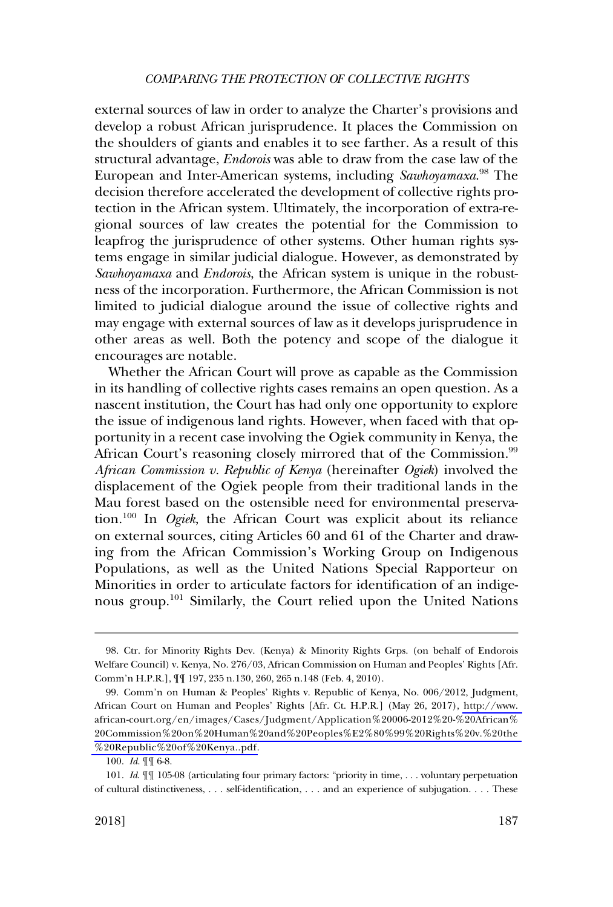external sources of law in order to analyze the Charter's provisions and develop a robust African jurisprudence. It places the Commission on the shoulders of giants and enables it to see farther. As a result of this structural advantage, *Endorois* was able to draw from the case law of the European and Inter-American systems, including *Sawhoyamaxa*. 98 The decision therefore accelerated the development of collective rights protection in the African system. Ultimately, the incorporation of extra-regional sources of law creates the potential for the Commission to leapfrog the jurisprudence of other systems. Other human rights systems engage in similar judicial dialogue. However, as demonstrated by *Sawhoyamaxa* and *Endorois*, the African system is unique in the robustness of the incorporation. Furthermore, the African Commission is not limited to judicial dialogue around the issue of collective rights and may engage with external sources of law as it develops jurisprudence in other areas as well. Both the potency and scope of the dialogue it encourages are notable.

Whether the African Court will prove as capable as the Commission in its handling of collective rights cases remains an open question. As a nascent institution, the Court has had only one opportunity to explore the issue of indigenous land rights. However, when faced with that opportunity in a recent case involving the Ogiek community in Kenya, the African Court's reasoning closely mirrored that of the Commission.<sup>99</sup> *African Commission v. Republic of Kenya* (hereinafter *Ogiek*) involved the displacement of the Ogiek people from their traditional lands in the Mau forest based on the ostensible need for environmental preservation.100 In *Ogiek*, the African Court was explicit about its reliance on external sources, citing Articles 60 and 61 of the Charter and drawing from the African Commission's Working Group on Indigenous Populations, as well as the United Nations Special Rapporteur on Minorities in order to articulate factors for identification of an indigenous group.<sup>101</sup> Similarly, the Court relied upon the United Nations

<sup>98.</sup> Ctr. for Minority Rights Dev. (Kenya) & Minority Rights Grps. (on behalf of Endorois Welfare Council) v. Kenya, No. 276/03, African Commission on Human and Peoples' Rights [Afr. Comm'n H.P.R.], ¶¶ 197, 235 n.130, 260, 265 n.148 (Feb. 4, 2010).

<sup>99.</sup> Comm'n on Human & Peoples' Rights v. Republic of Kenya, No. 006/2012, Judgment, African Court on Human and Peoples' Rights [Afr. Ct. H.P.R.] (May 26, 2017), [http://www.](http://www.african-court.org/en/images/Cases/Judgment/Application%20006-2012%20-%20African%20Commission%20on%20Human%20and%20Peoples%E2%80%99%20Rights%20v.%20the%20Republic%20of%20Kenya..pdf)  [african-court.org/en/images/Cases/Judgment/Application%20006-2012%20-%20African%](http://www.african-court.org/en/images/Cases/Judgment/Application%20006-2012%20-%20African%20Commission%20on%20Human%20and%20Peoples%E2%80%99%20Rights%20v.%20the%20Republic%20of%20Kenya..pdf)  20Commission%20on%20Human%20and%20Peoples%E2%80%99%20Rights%20v.%20the [%20Republic%20of%20Kenya..pdf.](http://www.african-court.org/en/images/Cases/Judgment/Application%20006-2012%20-%20African%20Commission%20on%20Human%20and%20Peoples%E2%80%99%20Rights%20v.%20the%20Republic%20of%20Kenya..pdf)

<sup>100.</sup> *Id*. ¶¶ 6-8.

<sup>101.</sup> *Id*. ¶¶ 105-08 (articulating four primary factors: "priority in time, . . . voluntary perpetuation of cultural distinctiveness, . . . self-identification, . . . and an experience of subjugation. . . . These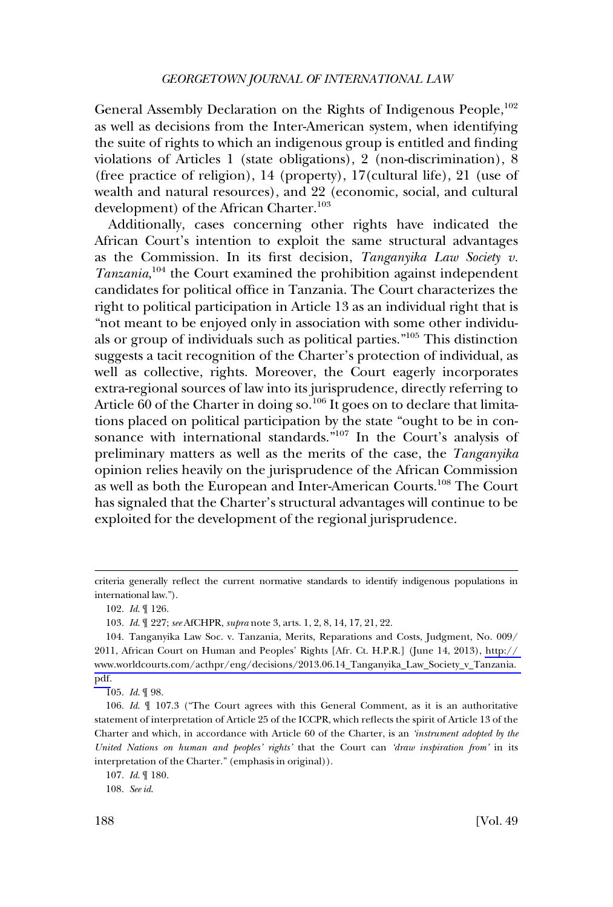General Assembly Declaration on the Rights of Indigenous People,<sup>102</sup> as well as decisions from the Inter-American system, when identifying the suite of rights to which an indigenous group is entitled and finding violations of Articles 1 (state obligations), 2 (non-discrimination), 8 (free practice of religion), 14 (property), 17(cultural life), 21 (use of wealth and natural resources), and 22 (economic, social, and cultural development) of the African Charter.<sup>103</sup>

Additionally, cases concerning other rights have indicated the African Court's intention to exploit the same structural advantages as the Commission. In its first decision, *Tanganyika Law Society v.*  Tanzania,<sup>104</sup> the Court examined the prohibition against independent candidates for political office in Tanzania. The Court characterizes the right to political participation in Article 13 as an individual right that is "not meant to be enjoyed only in association with some other individuals or group of individuals such as political parties."105 This distinction suggests a tacit recognition of the Charter's protection of individual, as well as collective, rights. Moreover, the Court eagerly incorporates extra-regional sources of law into its jurisprudence, directly referring to Article 60 of the Charter in doing so.<sup>106</sup> It goes on to declare that limitations placed on political participation by the state "ought to be in consonance with international standards."107 In the Court's analysis of preliminary matters as well as the merits of the case, the *Tanganyika*  opinion relies heavily on the jurisprudence of the African Commission as well as both the European and Inter-American Courts.108 The Court has signaled that the Charter's structural advantages will continue to be exploited for the development of the regional jurisprudence.

105. *Id*. ¶ 98.

criteria generally reflect the current normative standards to identify indigenous populations in international law.").

<sup>102.</sup> *Id*. ¶ 126.

<sup>103.</sup> *Id*. ¶ 227; *see* AfCHPR, *supra* note 3, arts. 1, 2, 8, 14, 17, 21, 22.

<sup>104.</sup> Tanganyika Law Soc. v. Tanzania, Merits, Reparations and Costs, Judgment, No. 009/ 2011, African Court on Human and Peoples' Rights [Afr. Ct. H.P.R.] (June 14, 2013), [http://](http://www.worldcourts.com/acthpr/eng/decisions/2013.06.14_Tanganyika_Law_Society_v_Tanzania.pdf)  [www.worldcourts.com/acthpr/eng/decisions/2013.06.14\\_Tanganyika\\_Law\\_Society\\_v\\_Tanzania.](http://www.worldcourts.com/acthpr/eng/decisions/2013.06.14_Tanganyika_Law_Society_v_Tanzania.pdf)  [pdf.](http://www.worldcourts.com/acthpr/eng/decisions/2013.06.14_Tanganyika_Law_Society_v_Tanzania.pdf)

<sup>106.</sup> *Id*. ¶ 107.3 ("The Court agrees with this General Comment, as it is an authoritative statement of interpretation of Article 25 of the ICCPR, which reflects the spirit of Article 13 of the Charter and which, in accordance with Article 60 of the Charter, is an *'instrument adopted by the United Nations on human and peoples' rights'* that the Court can *'draw inspiration from'* in its interpretation of the Charter." (emphasis in original)).

<sup>107.</sup> *Id*. ¶ 180.

<sup>108.</sup> *See id*.